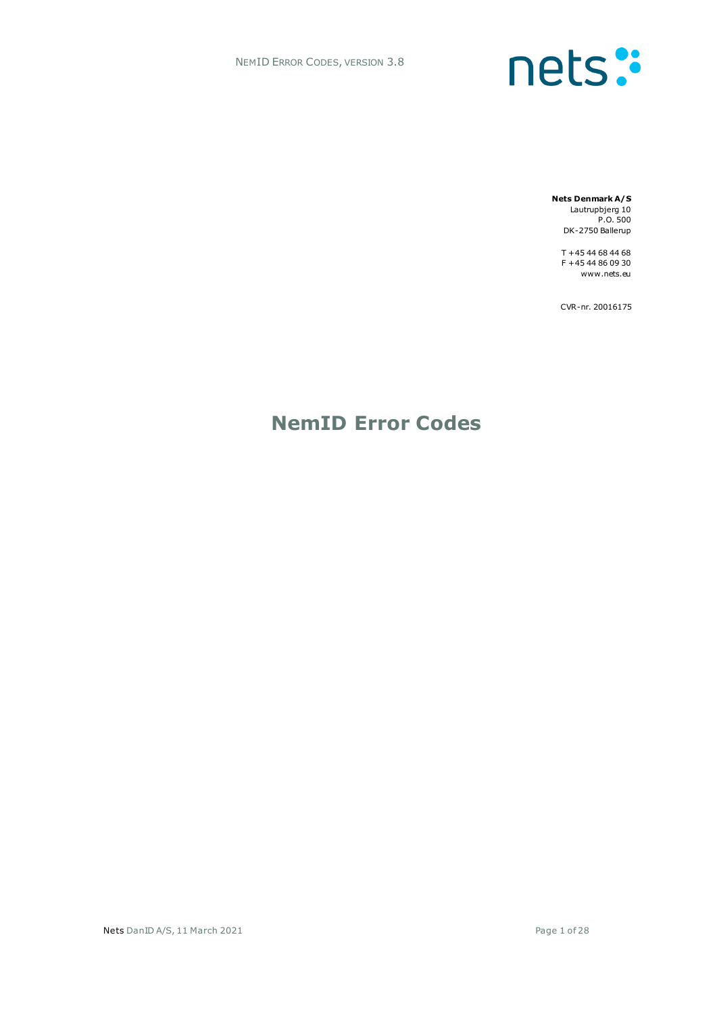# nets:

**Nets Denmark A/S** Lautrupbjerg 10 P.O. 500 DK-2750 Ballerup

> T +45 44 68 44 68 F +45 44 86 09 30 www.nets.eu

> CVR-nr. 20016175

### **NemID Error Codes**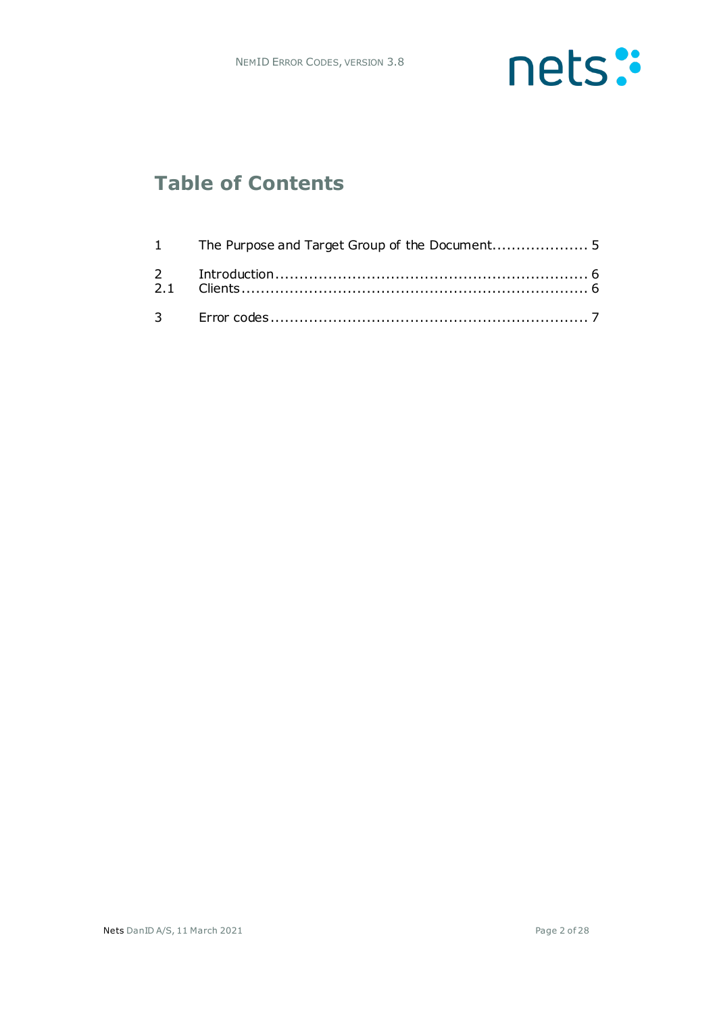

## **Table of Contents**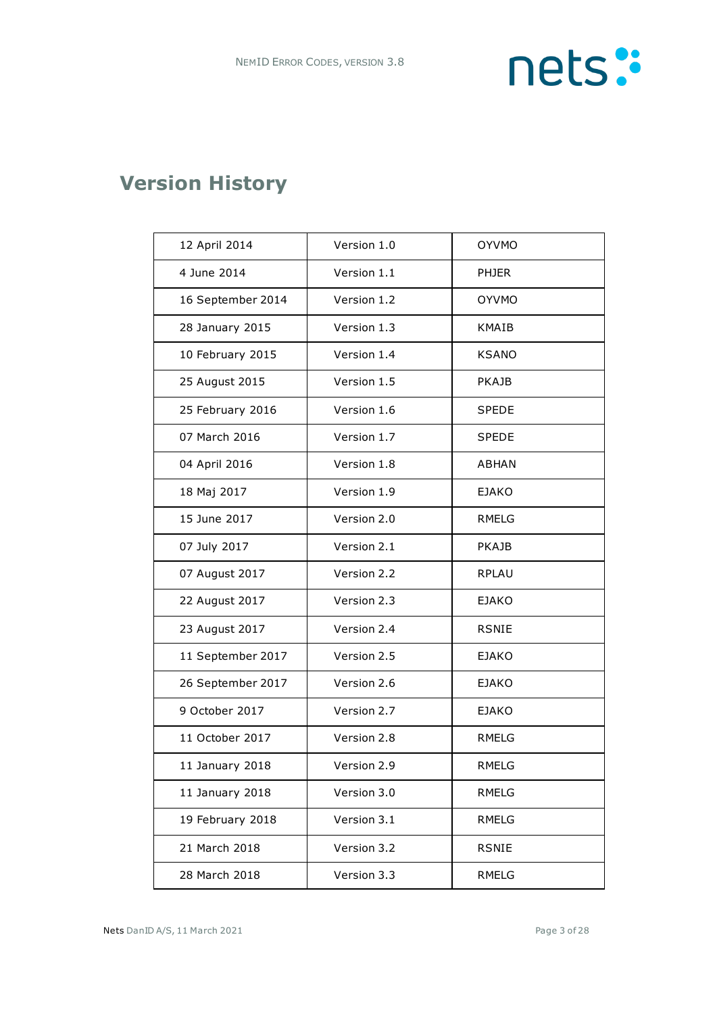

# **Version History**

| 12 April 2014     | Version 1.0 | <b>OYVMO</b> |
|-------------------|-------------|--------------|
| 4 June 2014       | Version 1.1 | <b>PHJER</b> |
| 16 September 2014 | Version 1.2 | <b>OYVMO</b> |
| 28 January 2015   | Version 1.3 | <b>KMAIB</b> |
| 10 February 2015  | Version 1.4 | <b>KSANO</b> |
| 25 August 2015    | Version 1.5 | <b>PKAJB</b> |
| 25 February 2016  | Version 1.6 | <b>SPEDE</b> |
| 07 March 2016     | Version 1.7 | <b>SPEDE</b> |
| 04 April 2016     | Version 1.8 | <b>ABHAN</b> |
| 18 Maj 2017       | Version 1.9 | <b>EJAKO</b> |
| 15 June 2017      | Version 2.0 | RMELG        |
| 07 July 2017      | Version 2.1 | <b>PKAJB</b> |
| 07 August 2017    | Version 2.2 | <b>RPLAU</b> |
| 22 August 2017    | Version 2.3 | EJAKO        |
| 23 August 2017    | Version 2.4 | RSNIE        |
| 11 September 2017 | Version 2.5 | EJAKO        |
| 26 September 2017 | Version 2.6 | <b>EJAKO</b> |
| 9 October 2017    | Version 2.7 | <b>EJAKO</b> |
| 11 October 2017   | Version 2.8 | RMELG        |
| 11 January 2018   | Version 2.9 | <b>RMELG</b> |
| 11 January 2018   | Version 3.0 | <b>RMELG</b> |
| 19 February 2018  | Version 3.1 | <b>RMELG</b> |
| 21 March 2018     | Version 3.2 | <b>RSNIE</b> |
| 28 March 2018     | Version 3.3 | RMELG        |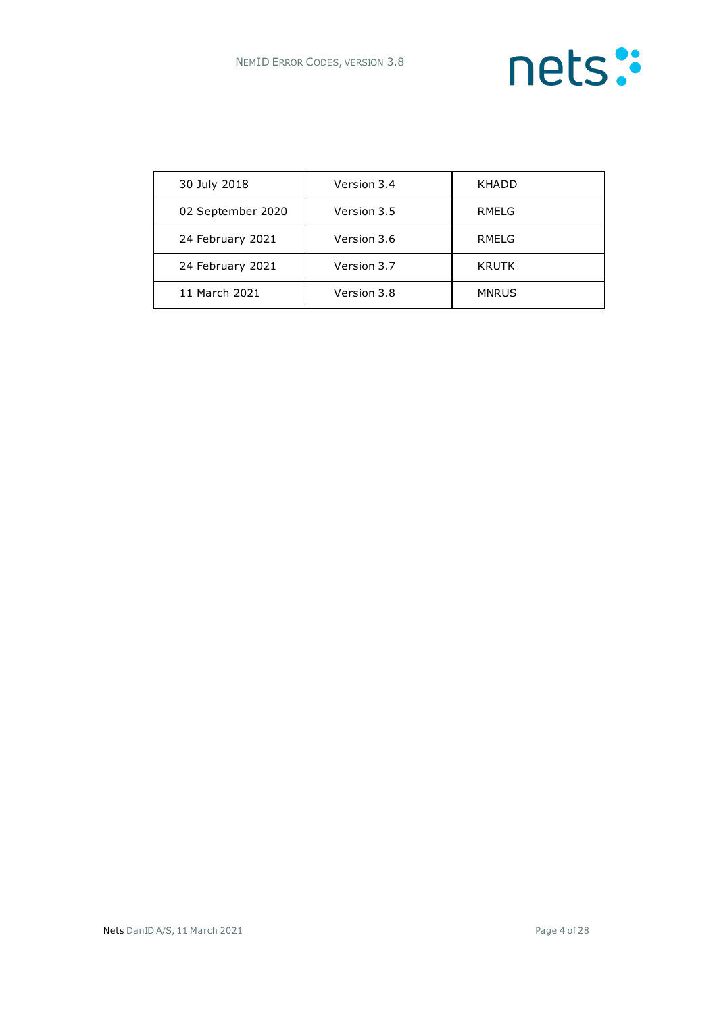

| 30 July 2018      | Version 3.4 | KHADD        |
|-------------------|-------------|--------------|
| 02 September 2020 | Version 3.5 | RMELG        |
| 24 February 2021  | Version 3.6 | RMELG        |
| 24 February 2021  | Version 3.7 | <b>KRUTK</b> |
| 11 March 2021     | Version 3.8 | <b>MNRUS</b> |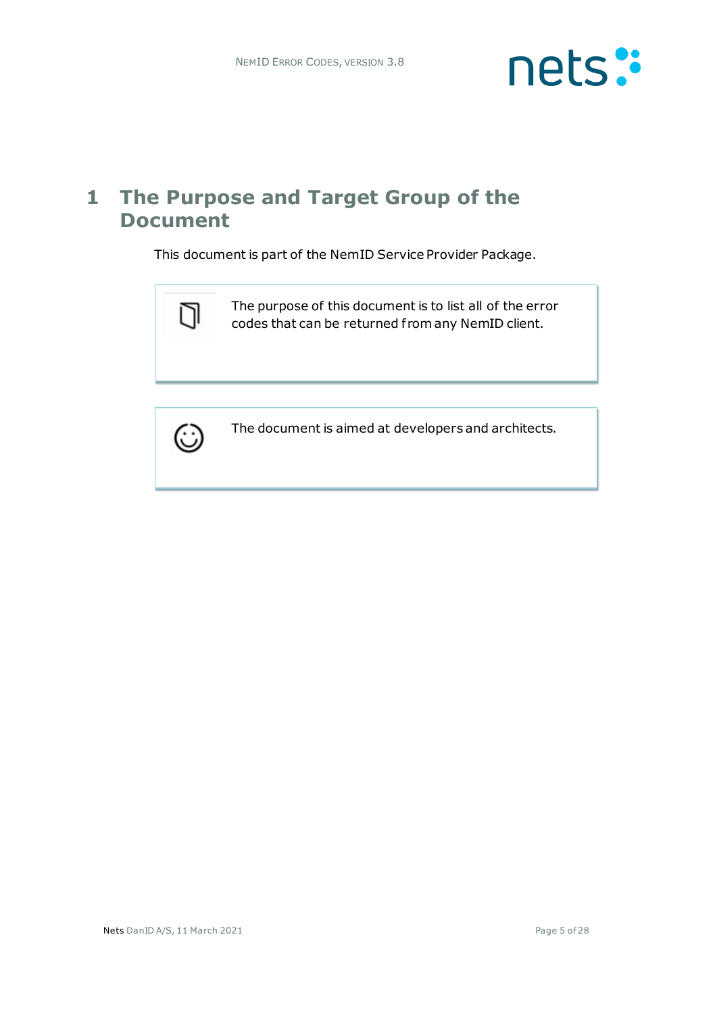

#### **1 The Purpose and Target Group of the Document**

This document is part of the NemID Service Provider Package.





The document is aimed at developers and architects.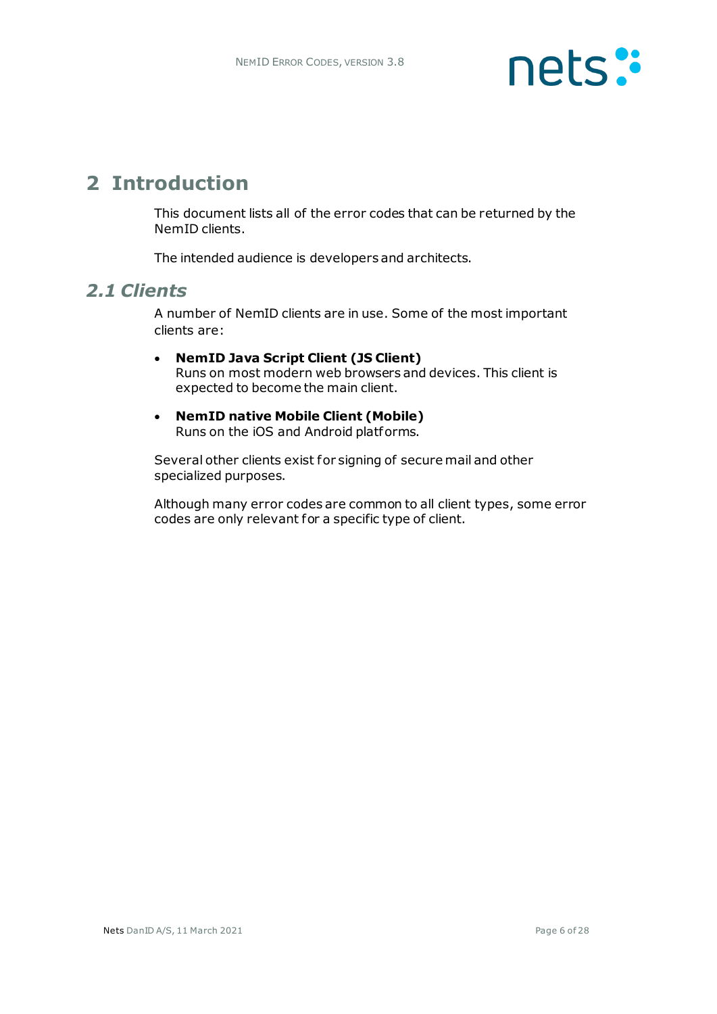

#### **2 Introduction**

This document lists all of the error codes that can be returned by the NemID clients.

The intended audience is developers and architects.

#### *2.1 Clients*

A number of NemID clients are in use. Some of the most important clients are:

- **NemID Java Script Client (JS Client)** Runs on most modern web browsers and devices. This client is expected to become the main client.
- **NemID native Mobile Client (Mobile)** Runs on the iOS and Android platforms.

Several other clients exist for signing of secure mail and other specialized purposes.

Although many error codes are common to all client types, some error codes are only relevant for a specific type of client.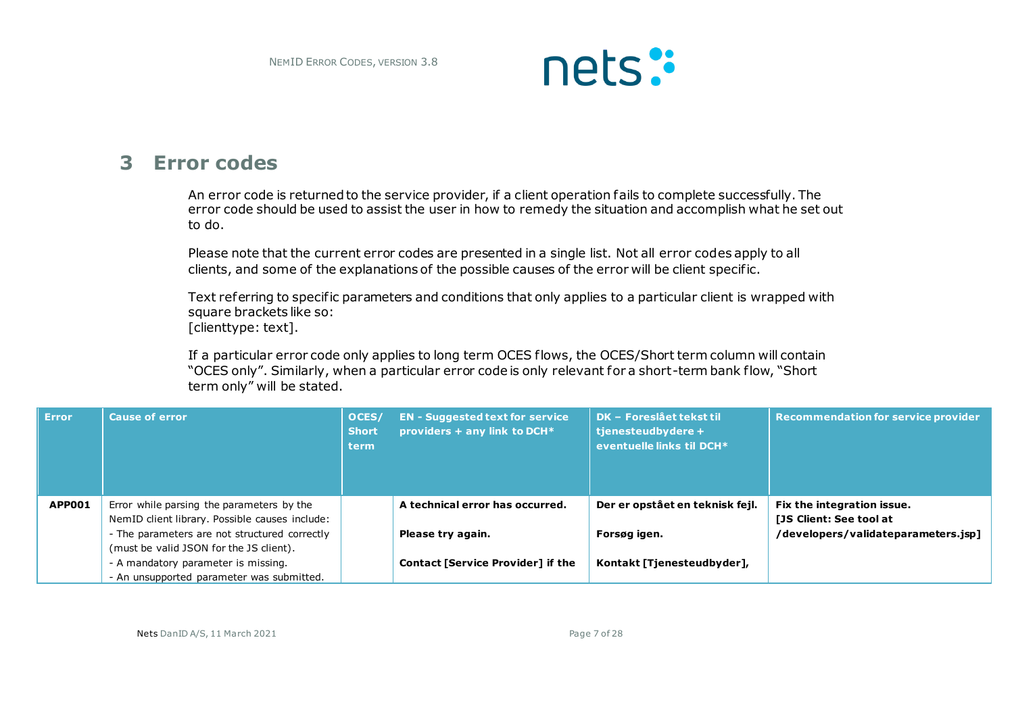

#### **3 Error codes**

An error code is returned to the service provider, if a client operation fails to complete successfully. The error code should be used to assist the user in how to remedy the situation and accomplish what he set out to do.

Please note that the current error codes are presented in a single list. Not all error codes apply to all clients, and some of the explanations of the possible causes of the error will be client specific.

Text referring to specific parameters and conditions that only applies to a particular client is wrapped with square brackets like so: [clienttype: text].

If a particular error code only applies to long term OCES flows, the OCES/Short term column will contain "OCES only". Similarly, when a particular error code is only relevant for a short-term bank flow, "Short term only" will be stated.

| / Error / | <b>Cause of error</b>                          | OCES/<br><b>Short</b><br><b>term</b> | <b>EN</b> - Suggested text for service<br>providers + any link to DCH* | <b>DK - Foreslået tekst til</b><br>tjenesteudbydere +<br>eventuelle links til DCH* | <b>Recommendation for service provider</b> |
|-----------|------------------------------------------------|--------------------------------------|------------------------------------------------------------------------|------------------------------------------------------------------------------------|--------------------------------------------|
| APP001    | Error while parsing the parameters by the      |                                      | A technical error has occurred.                                        | Der er opstået en teknisk fejl.                                                    | Fix the integration issue.                 |
|           | NemID client library. Possible causes include: |                                      |                                                                        |                                                                                    | [JS Client: See tool at                    |
|           | - The parameters are not structured correctly  |                                      | Please try again.                                                      | Forsøg igen.                                                                       | /developers/validateparameters.jsp]        |
|           | (must be valid JSON for the JS client).        |                                      |                                                                        |                                                                                    |                                            |
|           | - A mandatory parameter is missing.            |                                      | <b>Contact [Service Provider] if the</b>                               | Kontakt [Tienesteudbyder],                                                         |                                            |
|           | - An unsupported parameter was submitted.      |                                      |                                                                        |                                                                                    |                                            |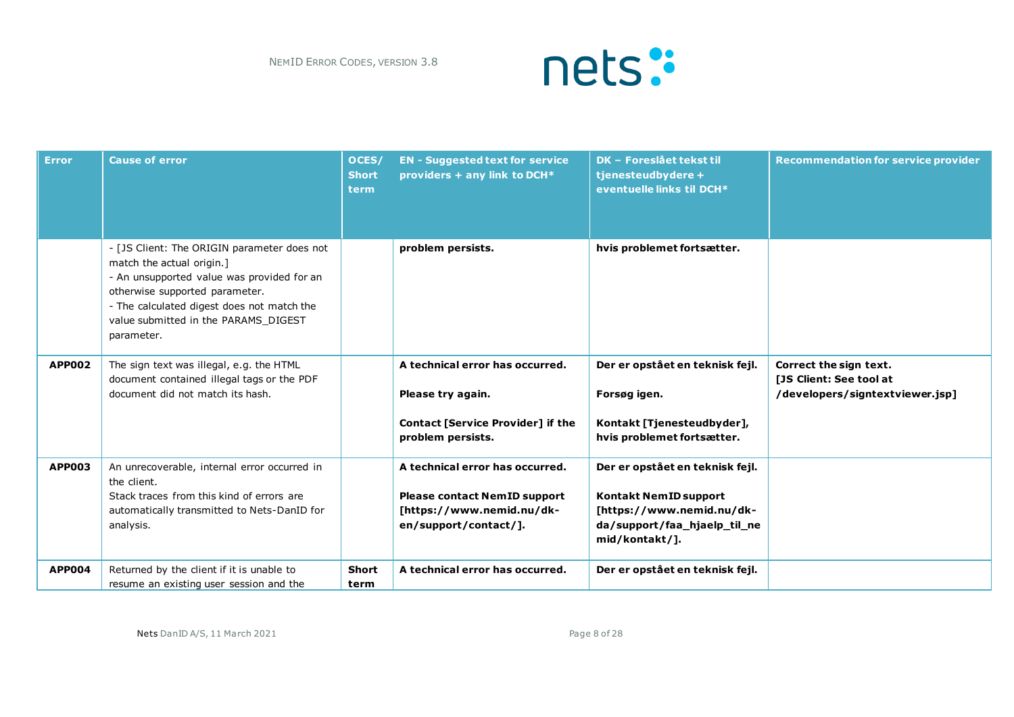

| <b>Error</b>  | <b>Cause of error</b>                                                                                                                                                                                                                                        | OCES/<br><b>Short</b><br>term | <b>EN - Suggested text for service</b><br>providers + any link to DCH*                                                       | <b>DK - Foreslået tekst til</b><br>tjenesteudbydere +<br>eventuelle links til DCH*                                                             | <b>Recommendation for service provider</b>                                           |
|---------------|--------------------------------------------------------------------------------------------------------------------------------------------------------------------------------------------------------------------------------------------------------------|-------------------------------|------------------------------------------------------------------------------------------------------------------------------|------------------------------------------------------------------------------------------------------------------------------------------------|--------------------------------------------------------------------------------------|
|               | - [JS Client: The ORIGIN parameter does not<br>match the actual origin.]<br>- An unsupported value was provided for an<br>otherwise supported parameter.<br>- The calculated digest does not match the<br>value submitted in the PARAMS DIGEST<br>parameter. |                               | problem persists.                                                                                                            | hvis problemet fortsætter.                                                                                                                     |                                                                                      |
| <b>APP002</b> | The sign text was illegal, e.g. the HTML<br>document contained illegal tags or the PDF<br>document did not match its hash.                                                                                                                                   |                               | A technical error has occurred.<br>Please try again.<br>Contact [Service Provider] if the<br>problem persists.               | Der er opstået en teknisk fejl.<br>Forsøg igen.<br>Kontakt [Tjenesteudbyder],<br>hvis problemet fortsætter.                                    | Correct the sign text.<br>[JS Client: See tool at<br>/developers/signtextviewer.jsp] |
| <b>APP003</b> | An unrecoverable, internal error occurred in<br>the client.<br>Stack traces from this kind of errors are<br>automatically transmitted to Nets-DanID for<br>analysis.                                                                                         |                               | A technical error has occurred.<br><b>Please contact NemID support</b><br>[https://www.nemid.nu/dk-<br>en/support/contact/]. | Der er opstået en teknisk fejl.<br><b>Kontakt NemID support</b><br>[https://www.nemid.nu/dk-<br>da/support/faa_hjaelp_til_ne<br>mid/kontakt/1. |                                                                                      |
| <b>APP004</b> | Returned by the client if it is unable to<br>resume an existing user session and the                                                                                                                                                                         | <b>Short</b><br>term          | A technical error has occurred.                                                                                              | Der er opstået en teknisk fejl.                                                                                                                |                                                                                      |

Nets DanID A/S, 11 March 2021 **Page 8 of 28**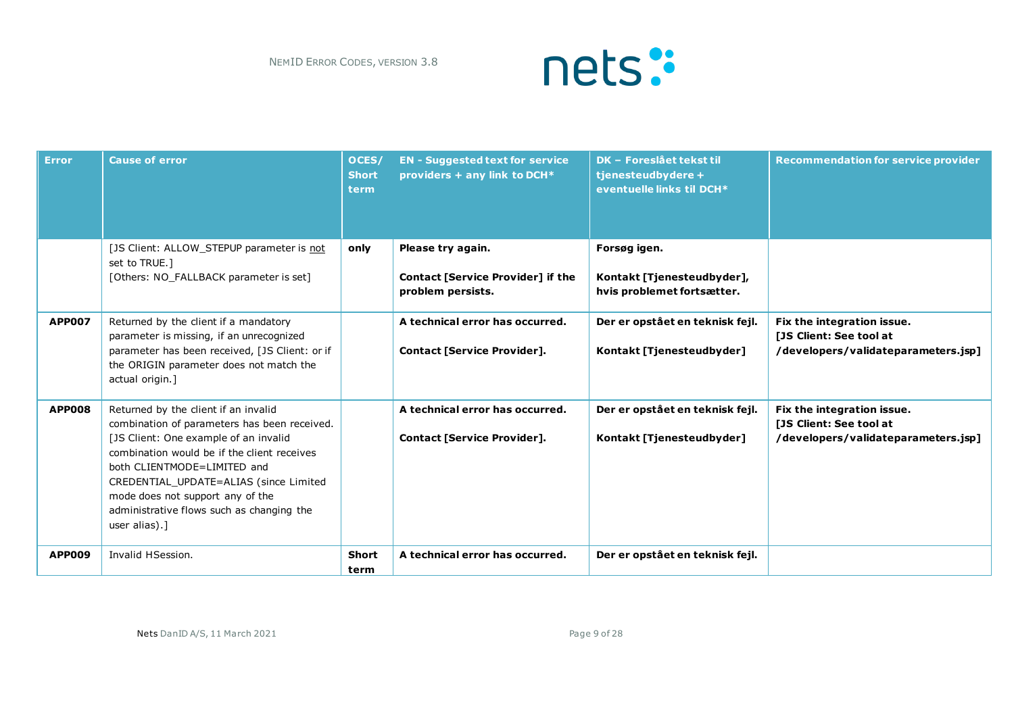

| <b>Error</b>  | <b>Cause of error</b>                                                                                                                                                                                                                                                                                                                                   | OCES/<br><b>Short</b><br>term. | <b>EN - Suggested text for service</b><br>providers + any link to DCH*             | <b>DK - Foreslået tekst til</b><br>tjenesteudbydere +<br>eventuelle links til DCH* | <b>Recommendation for service provider</b>                                                   |
|---------------|---------------------------------------------------------------------------------------------------------------------------------------------------------------------------------------------------------------------------------------------------------------------------------------------------------------------------------------------------------|--------------------------------|------------------------------------------------------------------------------------|------------------------------------------------------------------------------------|----------------------------------------------------------------------------------------------|
|               | [JS Client: ALLOW STEPUP parameter is not<br>set to TRUE.1<br>[Others: NO_FALLBACK parameter is set]                                                                                                                                                                                                                                                    | only                           | Please try again.<br><b>Contact [Service Provider] if the</b><br>problem persists. | Forsøg igen.<br>Kontakt [Tjenesteudbyder],<br>hvis problemet fortsætter.           |                                                                                              |
| <b>APP007</b> | Returned by the client if a mandatory<br>parameter is missing, if an unrecognized<br>parameter has been received, [JS Client: or if<br>the ORIGIN parameter does not match the<br>actual origin.]                                                                                                                                                       |                                | A technical error has occurred.<br><b>Contact [Service Provider].</b>              | Der er opstået en teknisk fejl.<br>Kontakt [Tienesteudbyder]                       | Fix the integration issue.<br>[JS Client: See tool at<br>/developers/validateparameters.jsp] |
| <b>APP008</b> | Returned by the client if an invalid<br>combination of parameters has been received.<br>[JS Client: One example of an invalid<br>combination would be if the client receives<br>both CLIENTMODE=LIMITED and<br>CREDENTIAL_UPDATE=ALIAS (since Limited<br>mode does not support any of the<br>administrative flows such as changing the<br>user alias).] |                                | A technical error has occurred.<br>Contact [Service Provider].                     | Der er opstået en teknisk fejl.<br>Kontakt [Tjenesteudbyder]                       | Fix the integration issue.<br>[JS Client: See tool at<br>/developers/validateparameters.jsp] |
| <b>APP009</b> | Invalid HSession.                                                                                                                                                                                                                                                                                                                                       | <b>Short</b><br>term           | A technical error has occurred.                                                    | Der er opstået en teknisk fejl.                                                    |                                                                                              |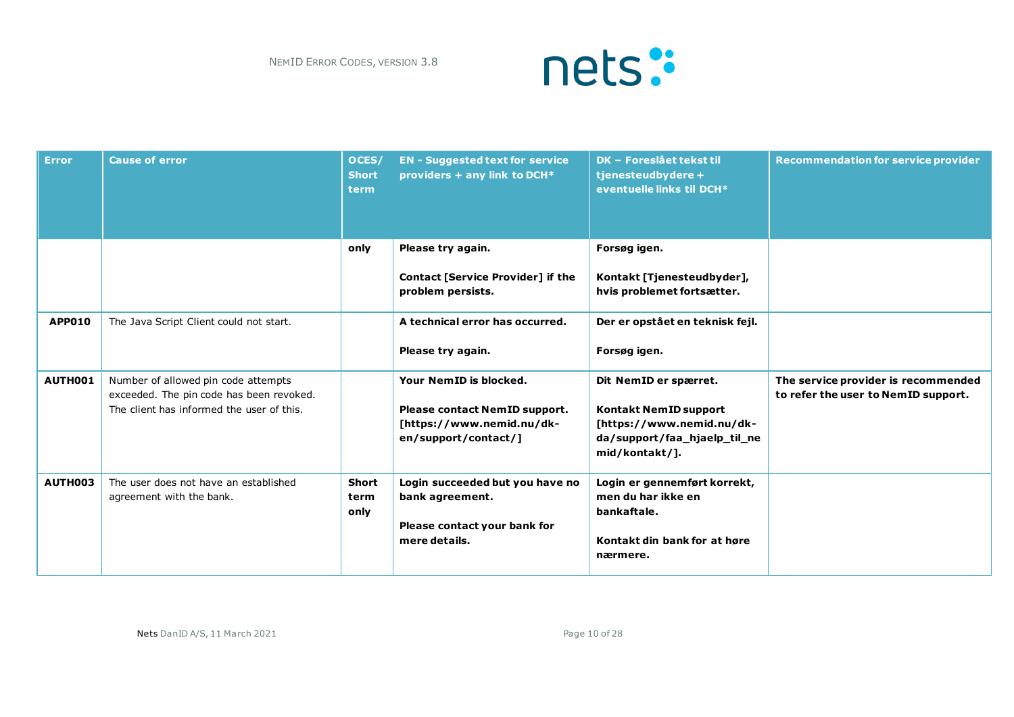

| <b>Error</b>  | <b>Cause of error</b>                                                                                                        | OCES/<br><b>Short</b><br>term | <b>EN - Suggested text for service</b><br>providers + any link to DCH*                                       | <b>DK - Foreslået tekst til</b><br>tjenesteudbydere +<br>eventuelle links til DCH*                                                   | <b>Recommendation for service provider</b>                                 |
|---------------|------------------------------------------------------------------------------------------------------------------------------|-------------------------------|--------------------------------------------------------------------------------------------------------------|--------------------------------------------------------------------------------------------------------------------------------------|----------------------------------------------------------------------------|
|               |                                                                                                                              | only                          | Please try again.<br>Contact [Service Provider] if the<br>problem persists.                                  | Forsøg igen.<br>Kontakt [Tjenesteudbyder],<br>hvis problemet fortsætter.                                                             |                                                                            |
| <b>APP010</b> | The Java Script Client could not start.                                                                                      |                               | A technical error has occurred.<br>Please try again.                                                         | Der er opstået en teknisk fejl.<br>Forsøg igen.                                                                                      |                                                                            |
| AUTH001       | Number of allowed pin code attempts<br>exceeded. The pin code has been revoked.<br>The client has informed the user of this. |                               | Your NemID is blocked.<br>Please contact NemID support.<br>[https://www.nemid.nu/dk-<br>en/support/contact/] | Dit NemID er spærret.<br><b>Kontakt NemID support</b><br>[https://www.nemid.nu/dk-<br>da/support/faa_hjaelp_til_ne<br>mid/kontakt/]. | The service provider is recommended<br>to refer the user to NemID support. |
| AUTH003       | The user does not have an established<br>agreement with the bank.                                                            | <b>Short</b><br>term<br>only  | Login succeeded but you have no<br>bank agreement.<br>Please contact your bank for<br>mere details.          | Login er gennemført korrekt,<br>men du har ikke en<br>bankaftale.<br>Kontakt din bank for at høre<br>nærmere.                        |                                                                            |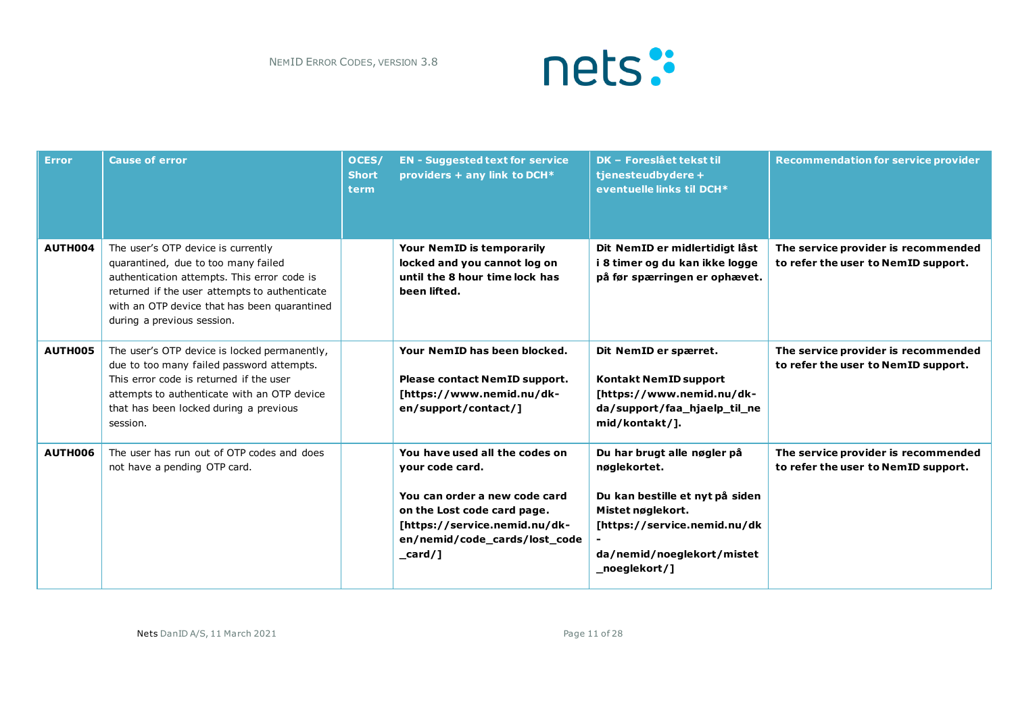

| <b>Error</b> | <b>Cause of error</b>                                                                                                                                                                                                                                   | OCES/<br><b>Short</b><br>term | <b>EN - Suggested text for service</b><br>providers + any link to DCH*                                                                                                                            | DK - Foreslået tekst til<br>tjenesteudbydere +<br>eventuelle links til DCH*                                                                                                        | <b>Recommendation for service provider</b>                                 |
|--------------|---------------------------------------------------------------------------------------------------------------------------------------------------------------------------------------------------------------------------------------------------------|-------------------------------|---------------------------------------------------------------------------------------------------------------------------------------------------------------------------------------------------|------------------------------------------------------------------------------------------------------------------------------------------------------------------------------------|----------------------------------------------------------------------------|
| AUTH004      | The user's OTP device is currently<br>quarantined, due to too many failed<br>authentication attempts. This error code is<br>returned if the user attempts to authenticate<br>with an OTP device that has been quarantined<br>during a previous session. |                               | Your NemID is temporarily<br>locked and you cannot log on<br>until the 8 hour time lock has<br>been lifted.                                                                                       | Dit NemID er midlertidigt låst<br>i 8 timer og du kan ikke logge<br>på før spærringen er ophævet.                                                                                  | The service provider is recommended<br>to refer the user to NemID support. |
| AUTH005      | The user's OTP device is locked permanently,<br>due to too many failed password attempts.<br>This error code is returned if the user<br>attempts to authenticate with an OTP device<br>that has been locked during a previous<br>session.               |                               | Your NemID has been blocked.<br>Please contact NemID support.<br>[https://www.nemid.nu/dk-<br>en/support/contact/]                                                                                | Dit NemID er spærret.<br><b>Kontakt NemID support</b><br>[https://www.nemid.nu/dk-<br>da/support/faa_hjaelp_til_ne<br>mid/kontakt/].                                               | The service provider is recommended<br>to refer the user to NemID support. |
| AUTH006      | The user has run out of OTP codes and does<br>not have a pending OTP card.                                                                                                                                                                              |                               | You have used all the codes on<br>your code card.<br>You can order a new code card<br>on the Lost code card page.<br>[https://service.nemid.nu/dk-<br>en/nemid/code_cards/lost_code<br>$\_card /$ | Du har brugt alle nøgler på<br>nøglekortet.<br>Du kan bestille et nyt på siden<br>Mistet nøglekort.<br>[https://service.nemid.nu/dk<br>da/nemid/noeglekort/mistet<br>_noeglekort/] | The service provider is recommended<br>to refer the user to NemID support. |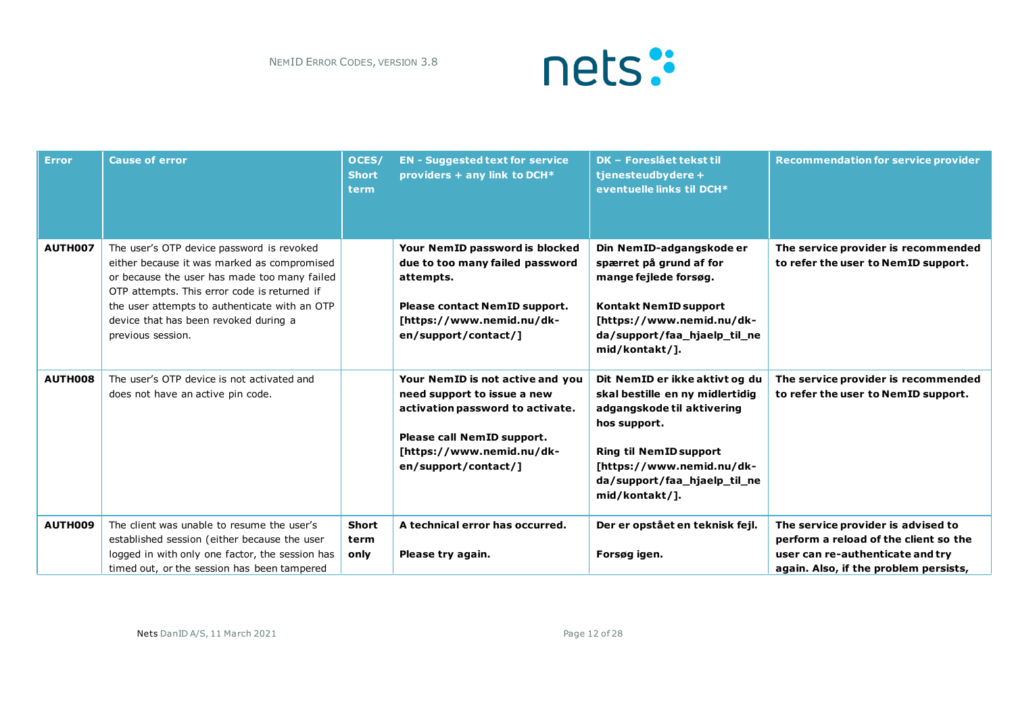

| <b>Error</b>   | <b>Cause of error</b>                                                                                                                                                                                                                                                                                   | OCES/<br><b>Short</b><br><b>term</b> | <b>EN - Suggested text for service</b><br>providers + any link to DCH*                                                                                                                 | <b>DK - Foreslået tekst til</b><br>tjenesteudbydere +<br>eventuelle links til DCH*                                                                                                                                              | <b>Recommendation for service provider</b>                                                                                                               |
|----------------|---------------------------------------------------------------------------------------------------------------------------------------------------------------------------------------------------------------------------------------------------------------------------------------------------------|--------------------------------------|----------------------------------------------------------------------------------------------------------------------------------------------------------------------------------------|---------------------------------------------------------------------------------------------------------------------------------------------------------------------------------------------------------------------------------|----------------------------------------------------------------------------------------------------------------------------------------------------------|
| <b>AUTH007</b> | The user's OTP device password is revoked<br>either because it was marked as compromised<br>or because the user has made too many failed<br>OTP attempts. This error code is returned if<br>the user attempts to authenticate with an OTP<br>device that has been revoked during a<br>previous session. |                                      | Your NemID password is blocked<br>due to too many failed password<br>attempts.<br>Please contact NemID support.<br>[https://www.nemid.nu/dk-<br>en/support/contact/]                   | Din NemID-adgangskode er<br>spærret på grund af for<br>mange fejlede forsøg.<br>Kontakt NemID support<br>[https://www.nemid.nu/dk-<br>da/support/faa_hjaelp_til_ne<br>mid/kontakt/1.                                            | The service provider is recommended<br>to refer the user to NemID support.                                                                               |
| AUTH008        | The user's OTP device is not activated and<br>does not have an active pin code.                                                                                                                                                                                                                         |                                      | Your NemID is not active and you<br>need support to issue a new<br>activation password to activate.<br>Please call NemID support.<br>[https://www.nemid.nu/dk-<br>en/support/contact/] | Dit NemID er ikke aktivt og du<br>skal bestille en ny midlertidig<br>adgangskode til aktivering<br>hos support.<br><b>Ring til NemID support</b><br>[https://www.nemid.nu/dk-<br>da/support/faa_hjaelp_til_ne<br>mid/kontakt/]. | The service provider is recommended<br>to refer the user to NemID support.                                                                               |
| <b>AUTH009</b> | The client was unable to resume the user's<br>established session (either because the user<br>logged in with only one factor, the session has<br>timed out, or the session has been tampered                                                                                                            | <b>Short</b><br>term<br>only         | A technical error has occurred.<br>Please try again.                                                                                                                                   | Der er opstået en teknisk fejl.<br>Forsøg igen.                                                                                                                                                                                 | The service provider is advised to<br>perform a reload of the client so the<br>user can re-authenticate and try<br>again. Also, if the problem persists, |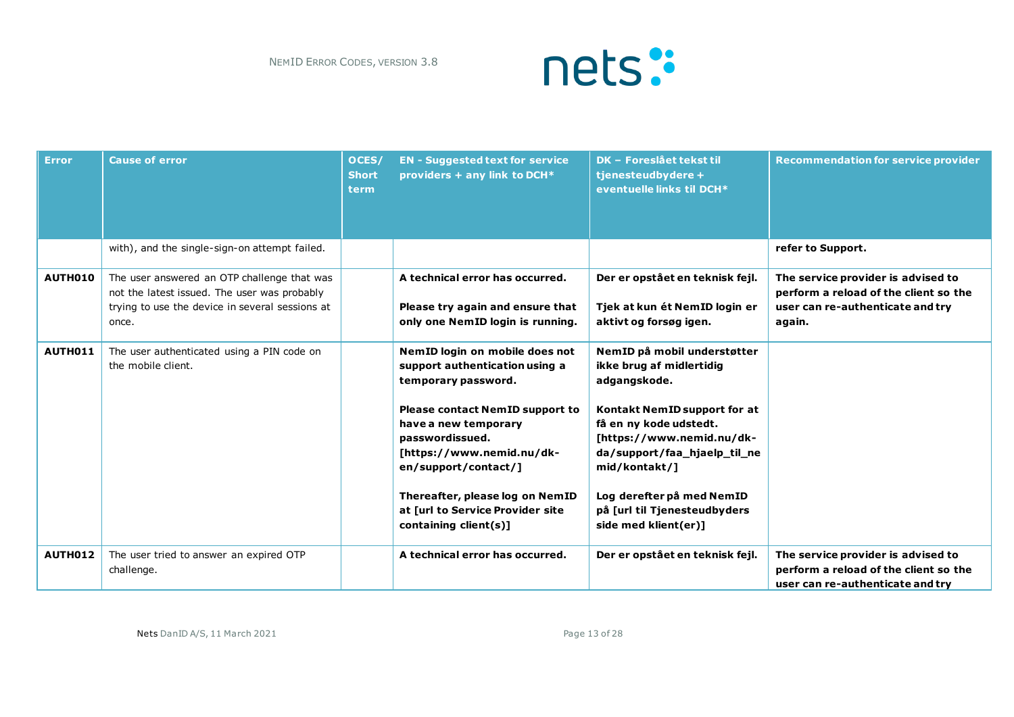

| <b>Error</b> | <b>Cause of error</b>                                                                                                                                   | OCES/<br><b>Short</b><br>term | <b>EN - Suggested text for service</b><br>providers + any link to DCH*                                                                                                                                                                                                                                                              | <b>DK - Foreslået tekst til</b><br>tjenesteudbydere +<br>eventuelle links til DCH*                                                                                                                                                                                                                   | <b>Recommendation for service provider</b>                                                                                |
|--------------|---------------------------------------------------------------------------------------------------------------------------------------------------------|-------------------------------|-------------------------------------------------------------------------------------------------------------------------------------------------------------------------------------------------------------------------------------------------------------------------------------------------------------------------------------|------------------------------------------------------------------------------------------------------------------------------------------------------------------------------------------------------------------------------------------------------------------------------------------------------|---------------------------------------------------------------------------------------------------------------------------|
|              | with), and the single-sign-on attempt failed.                                                                                                           |                               |                                                                                                                                                                                                                                                                                                                                     |                                                                                                                                                                                                                                                                                                      | refer to Support.                                                                                                         |
| AUTH010      | The user answered an OTP challenge that was<br>not the latest issued. The user was probably<br>trying to use the device in several sessions at<br>once. |                               | A technical error has occurred.<br>Please try again and ensure that<br>only one NemID login is running.                                                                                                                                                                                                                             | Der er opstået en teknisk fejl.<br>Tjek at kun ét NemID login er<br>aktivt og forsøg igen.                                                                                                                                                                                                           | The service provider is advised to<br>perform a reload of the client so the<br>user can re-authenticate and try<br>again. |
| AUTH011      | The user authenticated using a PIN code on<br>the mobile client.                                                                                        |                               | NemID login on mobile does not<br>support authentication using a<br>temporary password.<br><b>Please contact NemID support to</b><br>have a new temporary<br>passwordissued.<br>[https://www.nemid.nu/dk-<br>en/support/contact/]<br>Thereafter, please log on NemID<br>at [url to Service Provider site<br>containing $client(s)]$ | NemID på mobil understøtter<br>ikke brug af midlertidig<br>adgangskode.<br>Kontakt NemID support for at<br>få en ny kode udstedt.<br>[https://www.nemid.nu/dk-<br>da/support/faa_hjaelp_til_ne<br>mid/kontakt/]<br>Log derefter på med NemID<br>på [url til Tjenesteudbyders<br>side med klient(er)] |                                                                                                                           |
| AUTH012      | The user tried to answer an expired OTP<br>challenge.                                                                                                   |                               | A technical error has occurred.                                                                                                                                                                                                                                                                                                     | Der er opstået en teknisk fejl.                                                                                                                                                                                                                                                                      | The service provider is advised to<br>perform a reload of the client so the<br>user can re-authenticate and try           |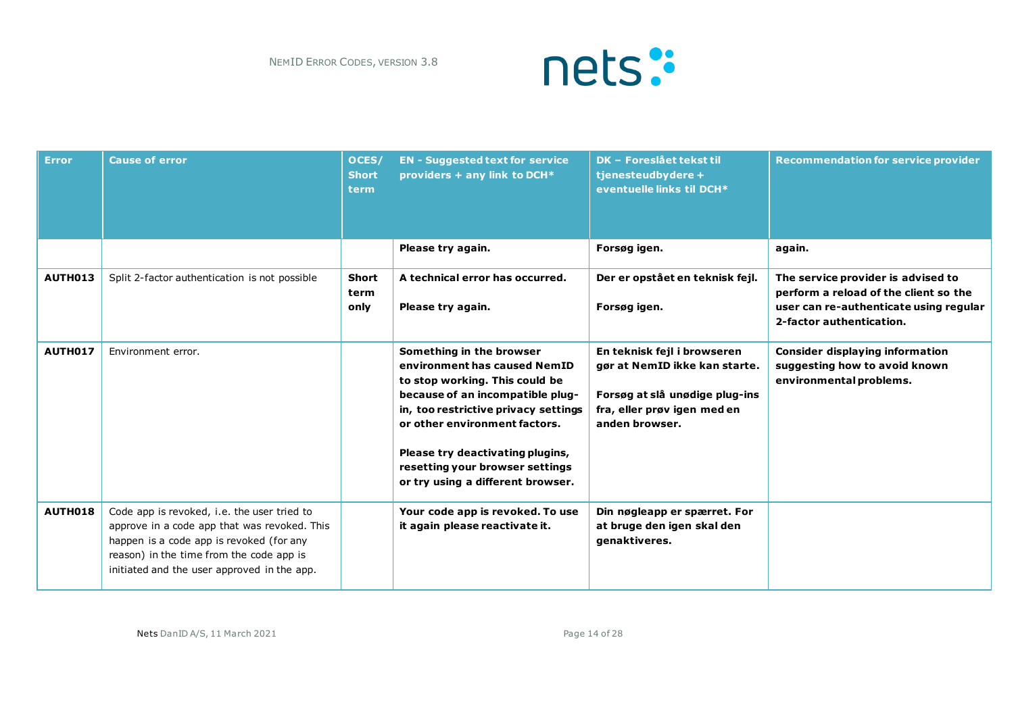

| <b>Error</b>   | <b>Cause of error</b>                                                                                                                                                                                                              | OCES/<br><b>Short</b><br>term | <b>EN - Suggested text for service</b><br>providers + any link to DCH*                                                                                                                                                                                                                                              | <b>DK - Foreslået tekst til</b><br>tjenesteudbydere +<br>eventuelle links til DCH*                                                              | <b>Recommendation for service provider</b>                                                                                                        |
|----------------|------------------------------------------------------------------------------------------------------------------------------------------------------------------------------------------------------------------------------------|-------------------------------|---------------------------------------------------------------------------------------------------------------------------------------------------------------------------------------------------------------------------------------------------------------------------------------------------------------------|-------------------------------------------------------------------------------------------------------------------------------------------------|---------------------------------------------------------------------------------------------------------------------------------------------------|
|                |                                                                                                                                                                                                                                    |                               | Please try again.                                                                                                                                                                                                                                                                                                   | Forsøg igen.                                                                                                                                    | again.                                                                                                                                            |
| <b>AUTH013</b> | Split 2-factor authentication is not possible                                                                                                                                                                                      | <b>Short</b><br>term<br>only  | A technical error has occurred.<br>Please try again.                                                                                                                                                                                                                                                                | Der er opstået en teknisk fejl.<br>Forsøg igen.                                                                                                 | The service provider is advised to<br>perform a reload of the client so the<br>user can re-authenticate using regular<br>2-factor authentication. |
| AUTH017        | Environment error.                                                                                                                                                                                                                 |                               | Something in the browser<br>environment has caused NemID<br>to stop working. This could be<br>because of an incompatible plug-<br>in, too restrictive privacy settings<br>or other environment factors.<br>Please try deactivating plugins,<br>resetting your browser settings<br>or try using a different browser. | En teknisk fejl i browseren<br>gør at NemID ikke kan starte.<br>Forsøg at slå unødige plug-ins<br>fra, eller prøv igen med en<br>anden browser. | <b>Consider displaying information</b><br>suggesting how to avoid known<br>environmental problems.                                                |
| <b>AUTH018</b> | Code app is revoked, i.e. the user tried to<br>approve in a code app that was revoked. This<br>happen is a code app is revoked (for any<br>reason) in the time from the code app is<br>initiated and the user approved in the app. |                               | Your code app is revoked. To use<br>it again please reactivate it.                                                                                                                                                                                                                                                  | Din nøgleapp er spærret. For<br>at bruge den igen skal den<br>genaktiveres.                                                                     |                                                                                                                                                   |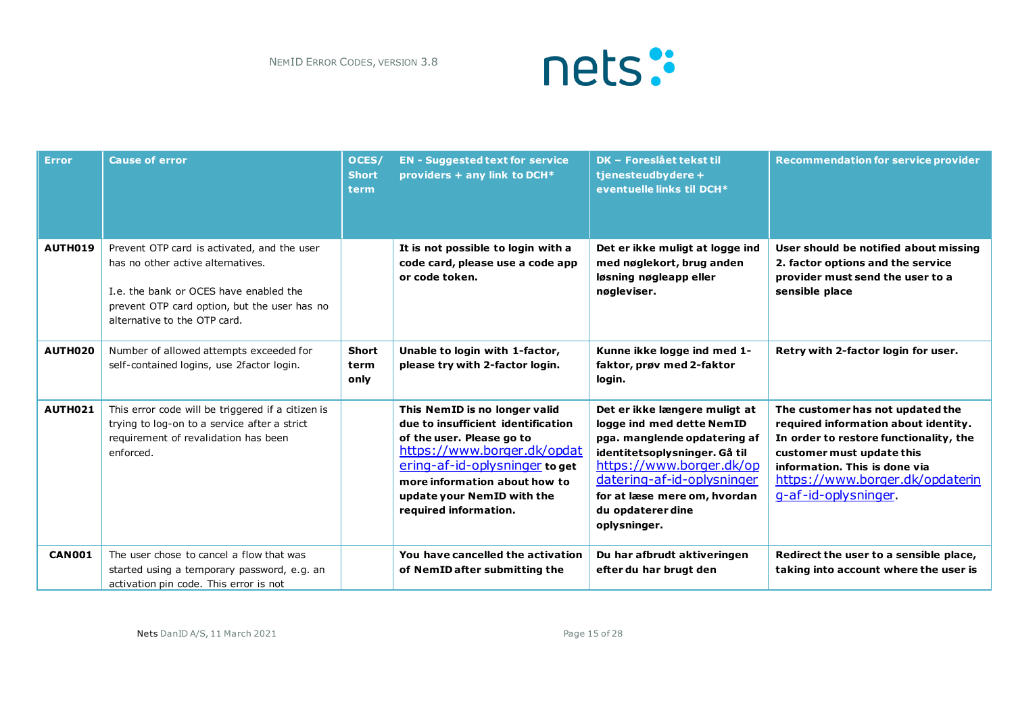

| <b>Error</b>   | <b>Cause of error</b>                                                                                                                                                                                      | OCES/<br><b>Short</b><br>term | <b>EN - Suggested text for service</b><br>providers + any link to DCH*                                                                                                                                                                                    | DK - Foreslået tekst til<br>tjenesteudbydere +<br>eventuelle links til DCH*                                                                                                                                                                                | <b>Recommendation for service provider</b>                                                                                                                                                                                                 |
|----------------|------------------------------------------------------------------------------------------------------------------------------------------------------------------------------------------------------------|-------------------------------|-----------------------------------------------------------------------------------------------------------------------------------------------------------------------------------------------------------------------------------------------------------|------------------------------------------------------------------------------------------------------------------------------------------------------------------------------------------------------------------------------------------------------------|--------------------------------------------------------------------------------------------------------------------------------------------------------------------------------------------------------------------------------------------|
| <b>AUTH019</b> | Prevent OTP card is activated, and the user<br>has no other active alternatives.<br>I.e. the bank or OCES have enabled the<br>prevent OTP card option, but the user has no<br>alternative to the OTP card. |                               | It is not possible to login with a<br>code card, please use a code app<br>or code token.                                                                                                                                                                  | Det er ikke muligt at logge ind<br>med nøglekort, brug anden<br>løsning nøgleapp eller<br>nøgleviser.                                                                                                                                                      | User should be notified about missing<br>2. factor options and the service<br>provider must send the user to a<br>sensible place                                                                                                           |
| AUTH020        | Number of allowed attempts exceeded for<br>self-contained logins, use 2factor login.                                                                                                                       | <b>Short</b><br>term<br>only  | Unable to login with 1-factor,<br>please try with 2-factor login.                                                                                                                                                                                         | Kunne ikke logge ind med 1-<br>faktor, prøv med 2-faktor<br>login.                                                                                                                                                                                         | Retry with 2-factor login for user.                                                                                                                                                                                                        |
| AUTH021        | This error code will be triggered if a citizen is<br>trying to log-on to a service after a strict<br>requirement of revalidation has been<br>enforced.                                                     |                               | This NemID is no longer valid<br>due to insufficient identification<br>of the user. Please go to<br>https://www.borger.dk/opdat<br>ering-af-id-oplysninger to get<br>more information about how to<br>update your NemID with the<br>required information. | Det er ikke længere muligt at<br>logge ind med dette NemID<br>pga. manglende opdatering af<br>identitetsoplysninger. Gå til<br>https://www.borger.dk/op<br>datering-af-id-oplysninger<br>for at læse mere om, hvordan<br>du opdaterer dine<br>oplysninger. | The customer has not updated the<br>required information about identity.<br>In order to restore functionality, the<br>customer must update this<br>information. This is done via<br>https://www.borger.dk/opdaterin<br>g-af-id-oplysninger |
| <b>CAN001</b>  | The user chose to cancel a flow that was<br>started using a temporary password, e.g. an<br>activation pin code. This error is not                                                                          |                               | You have cancelled the activation<br>of NemID after submitting the                                                                                                                                                                                        | Du har afbrudt aktiveringen<br>efter du har brugt den                                                                                                                                                                                                      | Redirect the user to a sensible place,<br>taking into account where the user is                                                                                                                                                            |

Nets DanID A/S, 11 March 2021 **Page 15 of 28** Page 15 of 28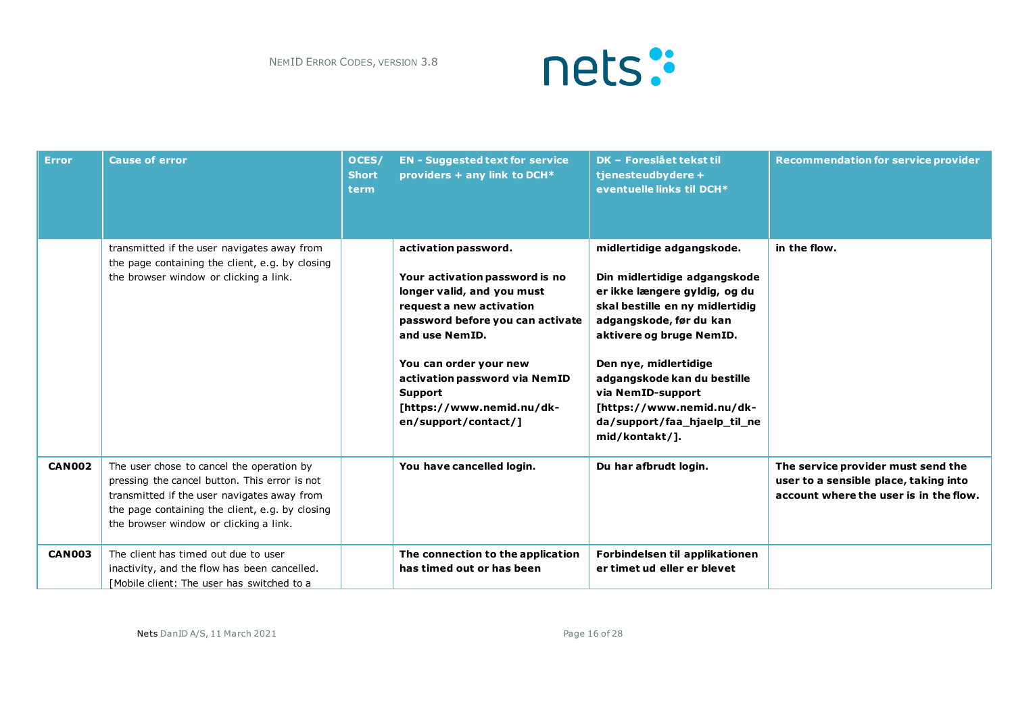

| <b>Error</b>  | <b>Cause of error</b>                                                                                                                                                                                                                  | OCES/<br><b>Short</b><br>term | <b>EN - Suggested text for service</b><br>providers + any link to DCH*                                                                                                                                                                                                                            | <b>DK - Foreslået tekst til</b><br>tjenesteudbydere +<br>eventuelle links til DCH*                                                                                                                                                                                                                                                               | <b>Recommendation for service provider</b>                                                                            |
|---------------|----------------------------------------------------------------------------------------------------------------------------------------------------------------------------------------------------------------------------------------|-------------------------------|---------------------------------------------------------------------------------------------------------------------------------------------------------------------------------------------------------------------------------------------------------------------------------------------------|--------------------------------------------------------------------------------------------------------------------------------------------------------------------------------------------------------------------------------------------------------------------------------------------------------------------------------------------------|-----------------------------------------------------------------------------------------------------------------------|
|               | transmitted if the user navigates away from<br>the page containing the client, e.g. by closing<br>the browser window or clicking a link.                                                                                               |                               | activation password.<br>Your activation password is no<br>longer valid, and you must<br>request a new activation<br>password before you can activate<br>and use NemID.<br>You can order your new<br>activation password via NemID<br>Support<br>[https://www.nemid.nu/dk-<br>en/support/contact/] | midlertidige adgangskode.<br>Din midlertidige adgangskode<br>er ikke længere gyldig, og du<br>skal bestille en ny midlertidig<br>adgangskode, før du kan<br>aktivere og bruge NemID.<br>Den nye, midlertidige<br>adgangskode kan du bestille<br>via NemID-support<br>[https://www.nemid.nu/dk-<br>da/support/faa_hjaelp_til_ne<br>mid/kontakt/]. | in the flow.                                                                                                          |
| <b>CAN002</b> | The user chose to cancel the operation by<br>pressing the cancel button. This error is not<br>transmitted if the user navigates away from<br>the page containing the client, e.g. by closing<br>the browser window or clicking a link. |                               | You have cancelled login.                                                                                                                                                                                                                                                                         | Du har afbrudt login.                                                                                                                                                                                                                                                                                                                            | The service provider must send the<br>user to a sensible place, taking into<br>account where the user is in the flow. |
| <b>CAN003</b> | The client has timed out due to user<br>inactivity, and the flow has been cancelled.<br>[Mobile client: The user has switched to a                                                                                                     |                               | The connection to the application<br>has timed out or has been                                                                                                                                                                                                                                    | Forbindelsen til applikationen<br>er timet ud eller er blevet                                                                                                                                                                                                                                                                                    |                                                                                                                       |

Nets DanID A/S, 11 March 2021 **Page 16 of 28** Page 16 of 28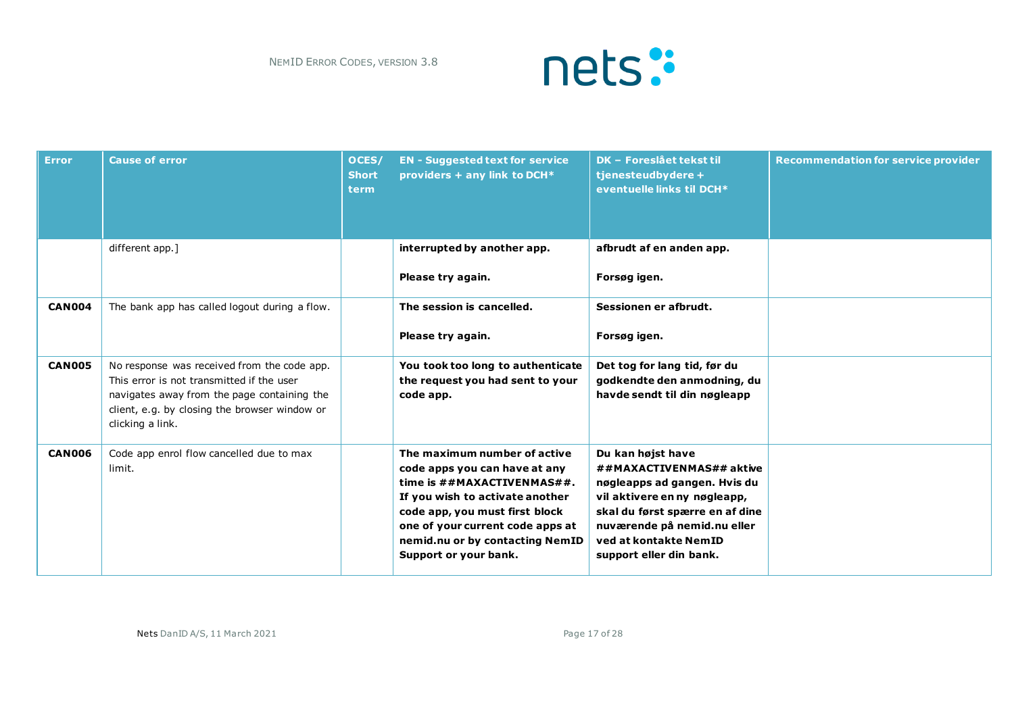

| <b>Error</b>  | <b>Cause of error</b>                                                                                                                                                                                        | OCES/<br><b>Short</b><br><b>term</b> | <b>EN - Suggested text for service</b><br>providers + any link to DCH*                                                                                                                                                                                           | <b>DK - Foreslået tekst til</b><br>tjenesteudbydere +<br>eventuelle links til DCH*                                                                                                                                                  | <b>Recommendation for service provider</b> |
|---------------|--------------------------------------------------------------------------------------------------------------------------------------------------------------------------------------------------------------|--------------------------------------|------------------------------------------------------------------------------------------------------------------------------------------------------------------------------------------------------------------------------------------------------------------|-------------------------------------------------------------------------------------------------------------------------------------------------------------------------------------------------------------------------------------|--------------------------------------------|
|               | different app.]                                                                                                                                                                                              |                                      | interrupted by another app.<br>Please try again.                                                                                                                                                                                                                 | afbrudt af en anden app.<br>Forsøg igen.                                                                                                                                                                                            |                                            |
| <b>CAN004</b> | The bank app has called logout during a flow.                                                                                                                                                                |                                      | The session is cancelled.<br>Please try again.                                                                                                                                                                                                                   | Sessionen er afbrudt.<br>Forsøg igen.                                                                                                                                                                                               |                                            |
| <b>CAN005</b> | No response was received from the code app.<br>This error is not transmitted if the user<br>navigates away from the page containing the<br>client, e.g. by closing the browser window or<br>clicking a link. |                                      | You took too long to authenticate<br>the request you had sent to your<br>code app.                                                                                                                                                                               | Det tog for lang tid, før du<br>godkendte den anmodning, du<br>havde sendt til din nøgleapp                                                                                                                                         |                                            |
| <b>CAN006</b> | Code app enrol flow cancelled due to max<br>limit.                                                                                                                                                           |                                      | The maximum number of active<br>code apps you can have at any<br>time is ##MAXACTIVENMAS##.<br>If you wish to activate another<br>code app, you must first block<br>one of your current code apps at<br>nemid.nu or by contacting NemID<br>Support or your bank. | Du kan højst have<br>##MAXACTIVENMAS## aktive<br>nøgleapps ad gangen. Hvis du<br>vil aktivere en ny nøgleapp,<br>skal du først spærre en af dine<br>nuværende på nemid.nu eller<br>ved at kontakte NemID<br>support eller din bank. |                                            |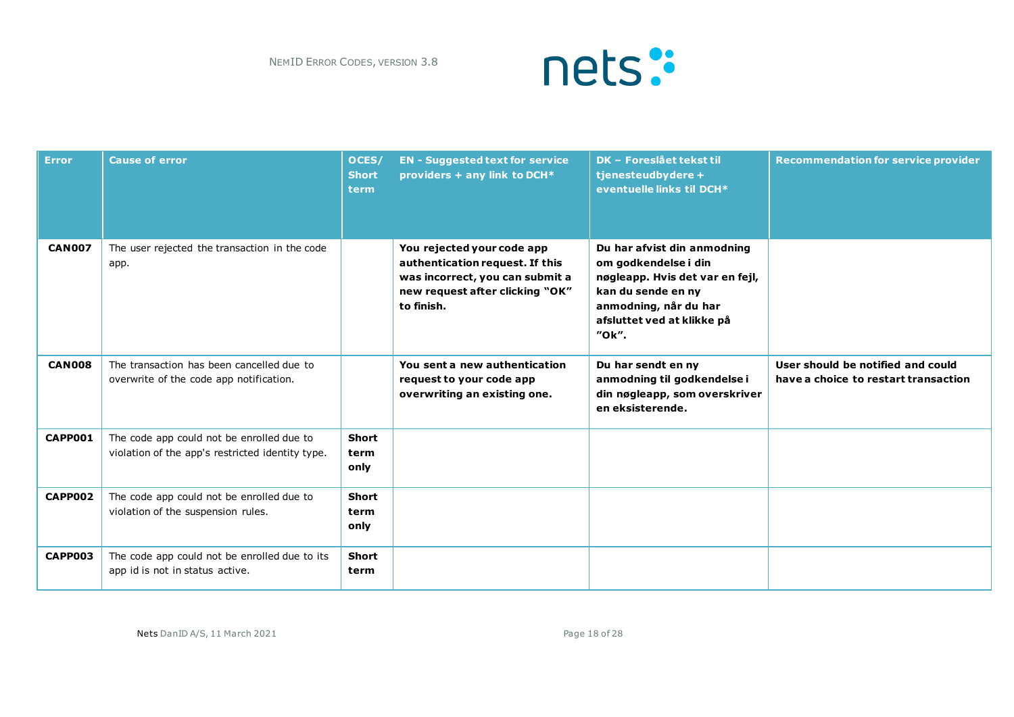

| <b>Error</b>  | <b>Cause of error</b>                                                                         | OCES/<br><b>Short</b><br>term | <b>EN - Suggested text for service</b><br>providers + any link to DCH*                                                                            | <b>DK - Foreslået tekst til</b><br>tjenesteudbydere +<br>eventuelle links til DCH*                                                                                           | <b>Recommendation for service provider</b>                                |
|---------------|-----------------------------------------------------------------------------------------------|-------------------------------|---------------------------------------------------------------------------------------------------------------------------------------------------|------------------------------------------------------------------------------------------------------------------------------------------------------------------------------|---------------------------------------------------------------------------|
| <b>CAN007</b> | The user rejected the transaction in the code<br>app.                                         |                               | You rejected your code app<br>authentication request. If this<br>was incorrect, you can submit a<br>new request after clicking "OK"<br>to finish. | Du har afvist din anmodning<br>om godkendelse i din<br>nøgleapp. Hvis det var en fejl,<br>kan du sende en ny<br>anmodning, når du har<br>afsluttet ved at klikke på<br>"Ok". |                                                                           |
| <b>CAN008</b> | The transaction has been cancelled due to<br>overwrite of the code app notification.          |                               | You sent a new authentication<br>request to your code app<br>overwriting an existing one.                                                         | Du har sendt en ny<br>anmodning til godkendelse i<br>din nøgleapp, som overskriver<br>en eksisterende.                                                                       | User should be notified and could<br>have a choice to restart transaction |
| CAPP001       | The code app could not be enrolled due to<br>violation of the app's restricted identity type. | Short<br>term<br>only         |                                                                                                                                                   |                                                                                                                                                                              |                                                                           |
| CAPP002       | The code app could not be enrolled due to<br>violation of the suspension rules.               | Short<br>term<br>only         |                                                                                                                                                   |                                                                                                                                                                              |                                                                           |
| CAPP003       | The code app could not be enrolled due to its<br>app id is not in status active.              | Short<br>term                 |                                                                                                                                                   |                                                                                                                                                                              |                                                                           |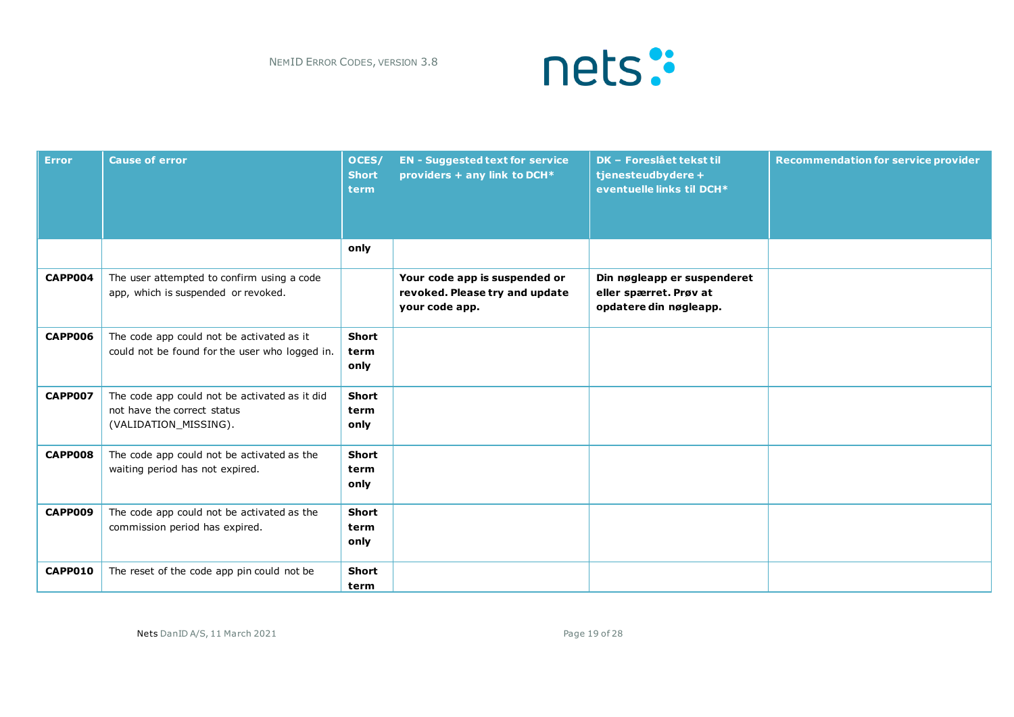

| <b>Error</b> | <b>Cause of error</b>                                                                                 | OCES/<br><b>Short</b><br>term | <b>EN - Suggested text for service</b><br>providers + any link to DCH*            | <b>DK - Foreslået tekst til</b><br>tjenesteudbydere +<br>eventuelle links til DCH* | <b>Recommendation for service provider</b> |
|--------------|-------------------------------------------------------------------------------------------------------|-------------------------------|-----------------------------------------------------------------------------------|------------------------------------------------------------------------------------|--------------------------------------------|
|              |                                                                                                       | only                          |                                                                                   |                                                                                    |                                            |
| CAPP004      | The user attempted to confirm using a code<br>app, which is suspended or revoked.                     |                               | Your code app is suspended or<br>revoked. Please try and update<br>your code app. | Din nøgleapp er suspenderet<br>eller spærret. Prøv at<br>opdatere din nøgleapp.    |                                            |
| CAPP006      | The code app could not be activated as it<br>could not be found for the user who logged in.           | <b>Short</b><br>term<br>only  |                                                                                   |                                                                                    |                                            |
| CAPP007      | The code app could not be activated as it did<br>not have the correct status<br>(VALIDATION_MISSING). | <b>Short</b><br>term<br>only  |                                                                                   |                                                                                    |                                            |
| CAPP008      | The code app could not be activated as the<br>waiting period has not expired.                         | <b>Short</b><br>term<br>only  |                                                                                   |                                                                                    |                                            |
| CAPP009      | The code app could not be activated as the<br>commission period has expired.                          | <b>Short</b><br>term<br>only  |                                                                                   |                                                                                    |                                            |
| CAPP010      | The reset of the code app pin could not be                                                            | <b>Short</b><br>term          |                                                                                   |                                                                                    |                                            |

Nets DanID A/S, 11 March 2021 **Page 19 of 28**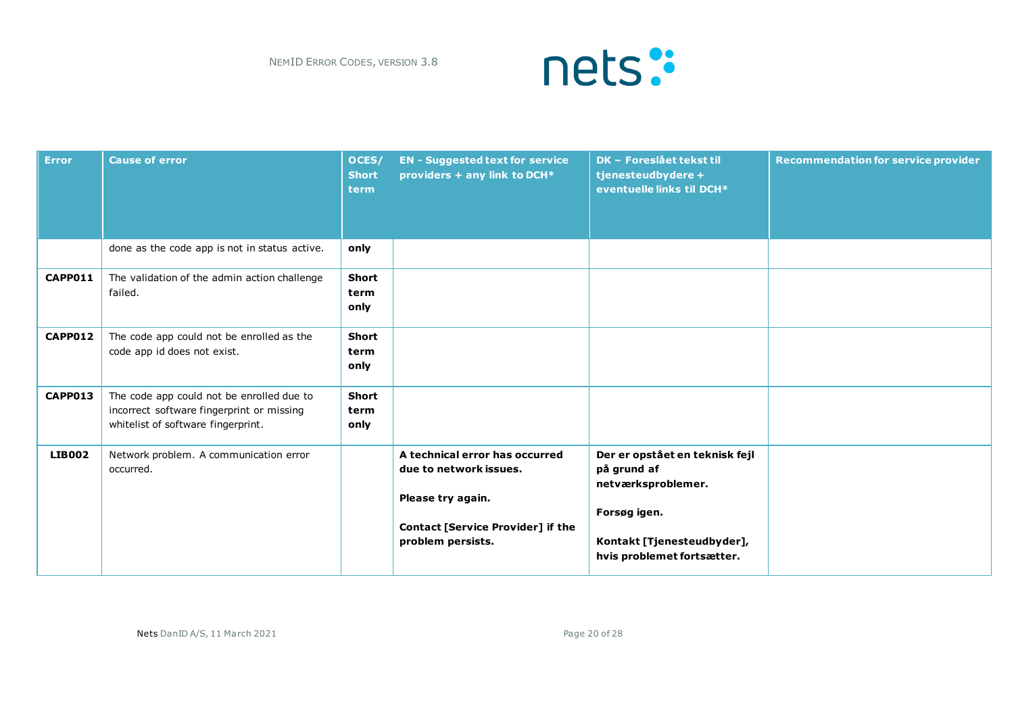

| <b>Error</b>  | <b>Cause of error</b>                                                                                                        | OCES/<br><b>Short</b><br>term | <b>EN - Suggested text for service</b><br>providers + any link to DCH*                                                                         | DK - Foreslået tekst til<br>tjenesteudbydere +<br>eventuelle links til DCH*                                                                     | <b>Recommendation for service provider</b> |
|---------------|------------------------------------------------------------------------------------------------------------------------------|-------------------------------|------------------------------------------------------------------------------------------------------------------------------------------------|-------------------------------------------------------------------------------------------------------------------------------------------------|--------------------------------------------|
|               | done as the code app is not in status active.                                                                                | only                          |                                                                                                                                                |                                                                                                                                                 |                                            |
| CAPP011       | The validation of the admin action challenge<br>failed.                                                                      | Short<br>term<br>only         |                                                                                                                                                |                                                                                                                                                 |                                            |
| CAPP012       | The code app could not be enrolled as the<br>code app id does not exist.                                                     | Short<br>term<br>only         |                                                                                                                                                |                                                                                                                                                 |                                            |
| CAPP013       | The code app could not be enrolled due to<br>incorrect software fingerprint or missing<br>whitelist of software fingerprint. | <b>Short</b><br>term<br>only  |                                                                                                                                                |                                                                                                                                                 |                                            |
| <b>LIB002</b> | Network problem. A communication error<br>occurred.                                                                          |                               | A technical error has occurred<br>due to network issues.<br>Please try again.<br><b>Contact [Service Provider] if the</b><br>problem persists. | Der er opstået en teknisk fejl<br>på grund af<br>netværksproblemer.<br>Forsøg igen.<br>Kontakt [Tjenesteudbyder],<br>hvis problemet fortsætter. |                                            |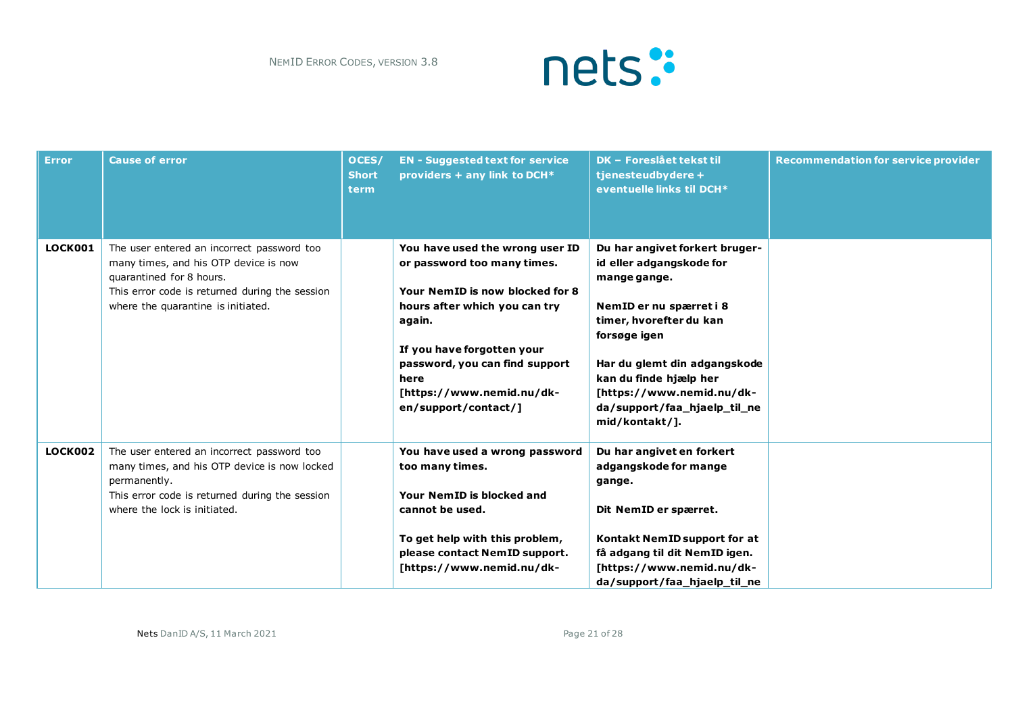

| <b>Error</b>   | <b>Cause of error</b>                                                                                                                                                                                   | OCES/<br><b>Short</b><br>term | <b>EN - Suggested text for service</b><br>providers + any link to DCH*                                                                                                                                                                                                    | <b>DK - Foreslået tekst til</b><br>tjenesteudbydere +<br>eventuelle links til DCH*                                                                                                                                                                                                        | <b>Recommendation for service provider</b> |
|----------------|---------------------------------------------------------------------------------------------------------------------------------------------------------------------------------------------------------|-------------------------------|---------------------------------------------------------------------------------------------------------------------------------------------------------------------------------------------------------------------------------------------------------------------------|-------------------------------------------------------------------------------------------------------------------------------------------------------------------------------------------------------------------------------------------------------------------------------------------|--------------------------------------------|
| <b>LOCK001</b> | The user entered an incorrect password too<br>many times, and his OTP device is now<br>quarantined for 8 hours.<br>This error code is returned during the session<br>where the quarantine is initiated. |                               | You have used the wrong user ID<br>or password too many times.<br>Your NemID is now blocked for 8<br>hours after which you can try<br>again.<br>If you have forgotten your<br>password, you can find support<br>here<br>[https://www.nemid.nu/dk-<br>en/support/contact/] | Du har angivet forkert bruger-<br>id eller adgangskode for<br>mange gange.<br>NemID er nu spærret i 8<br>timer, hvorefter du kan<br>forsøge igen<br>Har du glemt din adgangskode<br>kan du finde hjælp her<br>[https://www.nemid.nu/dk-<br>da/support/faa_hjaelp_til_ne<br>mid/kontakt/]. |                                            |
| LOCK002        | The user entered an incorrect password too<br>many times, and his OTP device is now locked<br>permanently.<br>This error code is returned during the session<br>where the lock is initiated.            |                               | You have used a wrong password<br>too many times.<br>Your NemID is blocked and<br>cannot be used.<br>To get help with this problem,<br>please contact NemID support.<br>[https://www.nemid.nu/dk-                                                                         | Du har angivet en forkert<br>adgangskode for mange<br>gange.<br>Dit NemID er spærret.<br>Kontakt NemID support for at<br>få adgang til dit NemID igen.<br>[https://www.nemid.nu/dk-<br>da/support/faa_hjaelp_til_ne                                                                       |                                            |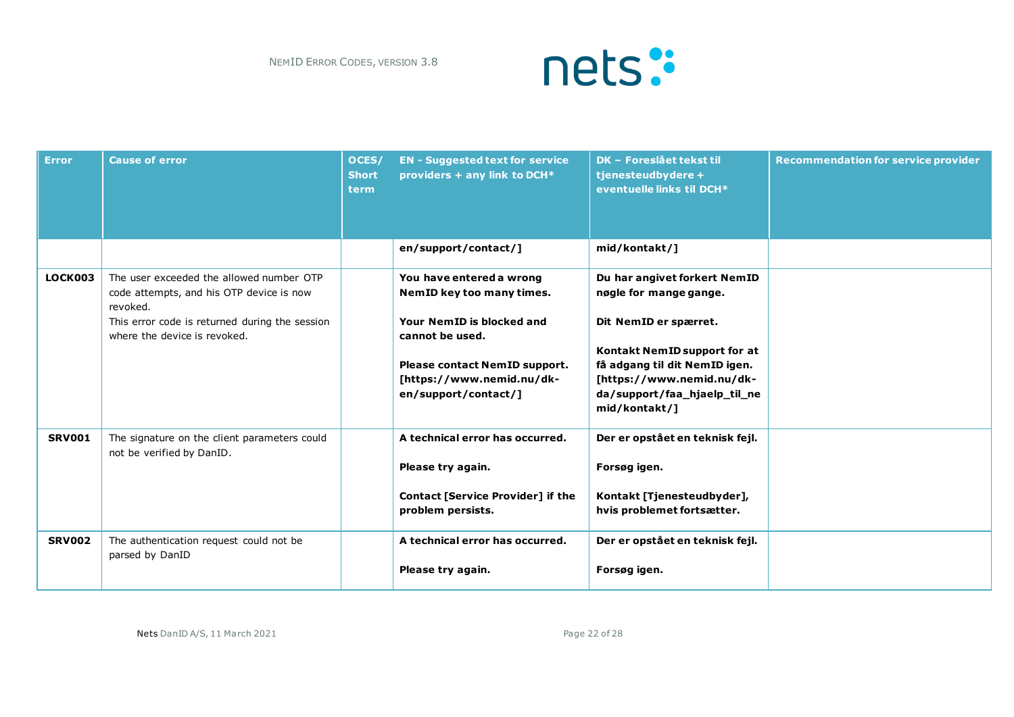

| <b>Error</b>  | <b>Cause of error</b>                                                                                                                                                              | OCES/<br><b>Short</b><br>term | <b>EN - Suggested text for service</b><br>providers + any link to DCH*                                                                                                                      | <b>DK - Foreslået tekst til</b><br>tjenesteudbydere +<br>eventuelle links til DCH*                                                                                                                                             | <b>Recommendation for service provider</b> |
|---------------|------------------------------------------------------------------------------------------------------------------------------------------------------------------------------------|-------------------------------|---------------------------------------------------------------------------------------------------------------------------------------------------------------------------------------------|--------------------------------------------------------------------------------------------------------------------------------------------------------------------------------------------------------------------------------|--------------------------------------------|
|               |                                                                                                                                                                                    |                               | en/support/contact/]                                                                                                                                                                        | mid/kontakt/]                                                                                                                                                                                                                  |                                            |
| LOCK003       | The user exceeded the allowed number OTP<br>code attempts, and his OTP device is now<br>revoked.<br>This error code is returned during the session<br>where the device is revoked. |                               | You have entered a wrong<br>NemID key too many times.<br>Your NemID is blocked and<br>cannot be used.<br>Please contact NemID support.<br>[https://www.nemid.nu/dk-<br>en/support/contact/] | Du har angivet forkert NemID<br>nøgle for mange gange.<br>Dit NemID er spærret.<br>Kontakt NemID support for at<br>få adgang til dit NemID igen.<br>[https://www.nemid.nu/dk-<br>da/support/faa_hjaelp_til_ne<br>mid/kontakt/] |                                            |
| <b>SRV001</b> | The signature on the client parameters could<br>not be verified by DanID.                                                                                                          |                               | A technical error has occurred.<br>Please try again.<br><b>Contact [Service Provider] if the</b><br>problem persists.                                                                       | Der er opstået en teknisk fejl.<br>Forsøg igen.<br>Kontakt [Tjenesteudbyder],<br>hvis problemet fortsætter.                                                                                                                    |                                            |
| <b>SRV002</b> | The authentication request could not be<br>parsed by DanID                                                                                                                         |                               | A technical error has occurred.<br>Please try again.                                                                                                                                        | Der er opstået en teknisk fejl.<br>Forsøg igen.                                                                                                                                                                                |                                            |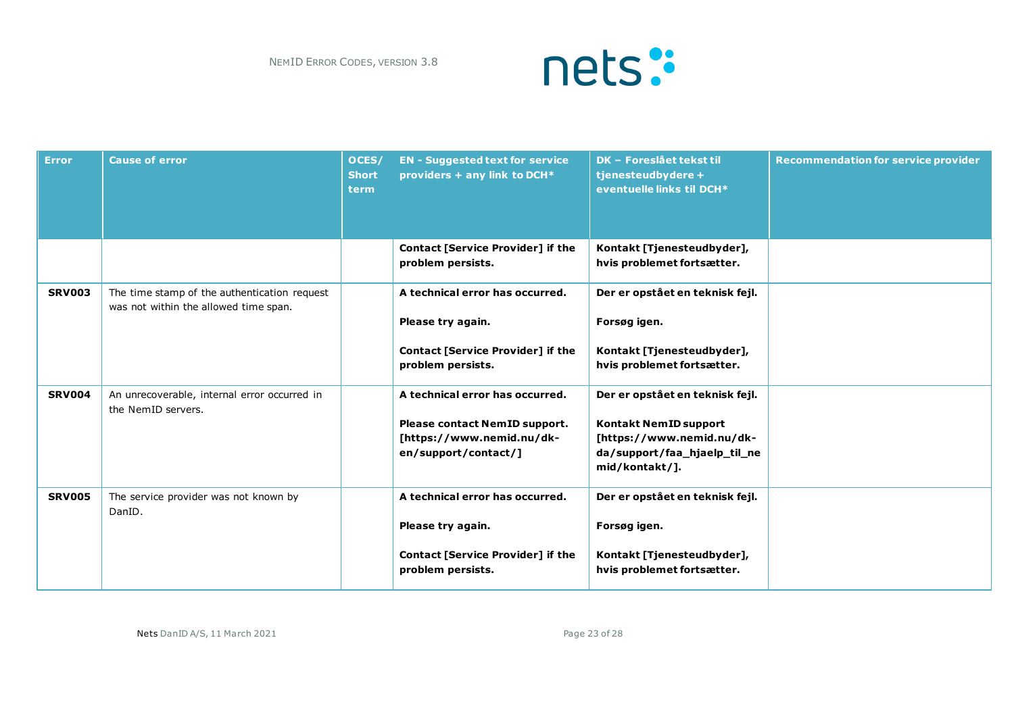

| <b>Error</b>  | <b>Cause of error</b>                                                                 | OCES/<br><b>Short</b><br><b>term</b> | <b>EN - Suggested text for service</b><br>providers + any link to DCH*                                                | <b>DK - Foreslået tekst til</b><br>tjenesteudbydere +<br>eventuelle links til DCH*                                                             | <b>Recommendation for service provider</b> |
|---------------|---------------------------------------------------------------------------------------|--------------------------------------|-----------------------------------------------------------------------------------------------------------------------|------------------------------------------------------------------------------------------------------------------------------------------------|--------------------------------------------|
|               |                                                                                       |                                      | <b>Contact [Service Provider] if the</b><br>problem persists.                                                         | Kontakt [Tjenesteudbyder],<br>hvis problemet fortsætter.                                                                                       |                                            |
| <b>SRV003</b> | The time stamp of the authentication request<br>was not within the allowed time span. |                                      | A technical error has occurred.<br>Please try again.<br><b>Contact [Service Provider] if the</b><br>problem persists. | Der er opstået en teknisk fejl.<br>Forsøg igen.<br>Kontakt [Tjenesteudbyder],<br>hvis problemet fortsætter.                                    |                                            |
| <b>SRV004</b> | An unrecoverable, internal error occurred in<br>the NemID servers.                    |                                      | A technical error has occurred.<br>Please contact NemID support.<br>[https://www.nemid.nu/dk-<br>en/support/contact/] | Der er opstået en teknisk fejl.<br><b>Kontakt NemID support</b><br>[https://www.nemid.nu/dk-<br>da/support/faa_hjaelp_til_ne<br>mid/kontakt/]. |                                            |
| <b>SRV005</b> | The service provider was not known by<br>DanID.                                       |                                      | A technical error has occurred.<br>Please try again.<br><b>Contact [Service Provider] if the</b><br>problem persists. | Der er opstået en teknisk fejl.<br>Forsøg igen.<br>Kontakt [Tjenesteudbyder],<br>hvis problemet fortsætter.                                    |                                            |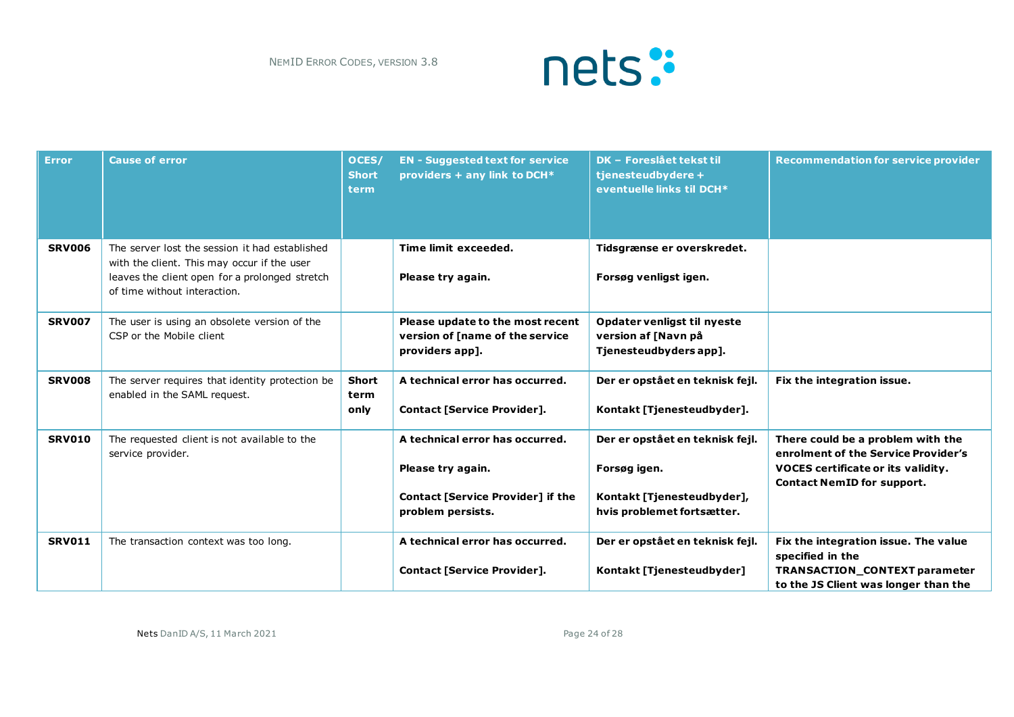

| <b>Error</b>  | <b>Cause of error</b>                                                                                                                                                           | OCES/<br><b>Short</b><br>term | <b>EN - Suggested text for service</b><br>providers + any link to DCH*                                                | <b>DK - Foreslået tekst til</b><br>tjenesteudbydere +<br>eventuelle links til DCH*                          | <b>Recommendation for service provider</b>                                                                                                                 |
|---------------|---------------------------------------------------------------------------------------------------------------------------------------------------------------------------------|-------------------------------|-----------------------------------------------------------------------------------------------------------------------|-------------------------------------------------------------------------------------------------------------|------------------------------------------------------------------------------------------------------------------------------------------------------------|
| <b>SRV006</b> | The server lost the session it had established<br>with the client. This may occur if the user<br>leaves the client open for a prolonged stretch<br>of time without interaction. |                               | Time limit exceeded.<br>Please try again.                                                                             | Tidsgrænse er overskredet.<br>Forsøg venligst igen.                                                         |                                                                                                                                                            |
| <b>SRV007</b> | The user is using an obsolete version of the<br>CSP or the Mobile client                                                                                                        |                               | Please update to the most recent<br>version of [name of the service<br>providers app].                                | Opdater venligst til nyeste<br>version af [Navn på<br>Tjenesteudbyders app].                                |                                                                                                                                                            |
| <b>SRV008</b> | The server requires that identity protection be<br>enabled in the SAML request.                                                                                                 | <b>Short</b><br>term<br>only  | A technical error has occurred.<br>Contact [Service Provider].                                                        | Der er opstået en teknisk fejl.<br>Kontakt [Tjenesteudbyder].                                               | Fix the integration issue.                                                                                                                                 |
| <b>SRV010</b> | The requested client is not available to the<br>service provider.                                                                                                               |                               | A technical error has occurred.<br>Please try again.<br><b>Contact [Service Provider] if the</b><br>problem persists. | Der er opstået en teknisk fejl.<br>Forsøg igen.<br>Kontakt [Tjenesteudbyder],<br>hvis problemet fortsætter. | There could be a problem with the<br>enrolment of the Service Provider's<br><b>VOCES</b> certificate or its validity.<br><b>Contact NemID for support.</b> |
| <b>SRV011</b> | The transaction context was too long.                                                                                                                                           |                               | A technical error has occurred.<br><b>Contact [Service Provider].</b>                                                 | Der er opstået en teknisk fejl.<br>Kontakt [Tjenesteudbyder]                                                | Fix the integration issue. The value<br>specified in the<br><b>TRANSACTION CONTEXT parameter</b><br>to the JS Client was longer than the                   |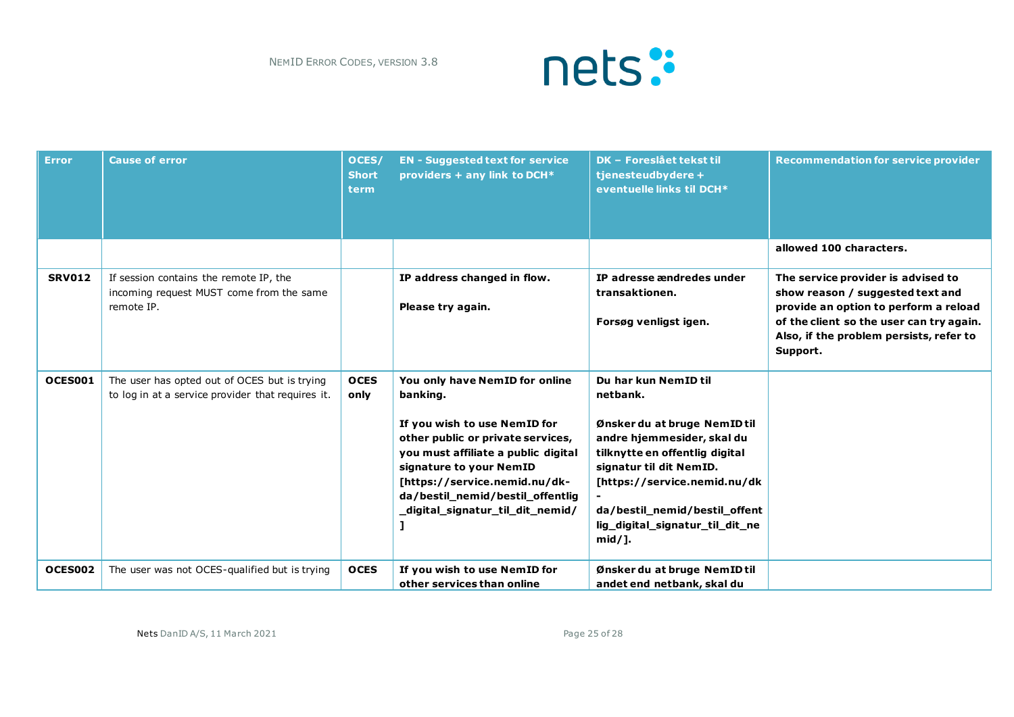

| <b>Error</b>  | <b>Cause of error</b>                                                                             | OCES/<br><b>Short</b><br><b>term</b> | <b>EN - Suggested text for service</b><br>providers + any link to DCH*                                                                                                                                                                                                                     | DK - Foreslået tekst til<br>tjenesteudbydere +<br>eventuelle links til DCH*                                                                                                                                                                                                  | <b>Recommendation for service provider</b>                                                                                                                                                                         |
|---------------|---------------------------------------------------------------------------------------------------|--------------------------------------|--------------------------------------------------------------------------------------------------------------------------------------------------------------------------------------------------------------------------------------------------------------------------------------------|------------------------------------------------------------------------------------------------------------------------------------------------------------------------------------------------------------------------------------------------------------------------------|--------------------------------------------------------------------------------------------------------------------------------------------------------------------------------------------------------------------|
|               |                                                                                                   |                                      |                                                                                                                                                                                                                                                                                            |                                                                                                                                                                                                                                                                              | allowed 100 characters.                                                                                                                                                                                            |
| <b>SRV012</b> | If session contains the remote IP, the<br>incoming request MUST come from the same<br>remote IP.  |                                      | IP address changed in flow.<br>Please try again.                                                                                                                                                                                                                                           | IP adresse ændredes under<br>transaktionen.<br>Forsøg venligst igen.                                                                                                                                                                                                         | The service provider is advised to<br>show reason / suggested text and<br>provide an option to perform a reload<br>of the client so the user can try again.<br>Also, if the problem persists, refer to<br>Support. |
| OCES001       | The user has opted out of OCES but is trying<br>to log in at a service provider that requires it. | <b>OCES</b><br>only                  | You only have NemID for online<br>banking.<br>If you wish to use NemID for<br>other public or private services,<br>you must affiliate a public digital<br>signature to your NemID<br>[https://service.nemid.nu/dk-<br>da/bestil_nemid/bestil_offentlig<br>_digital_signatur_til_dit_nemid/ | Du har kun NemID til<br>netbank.<br>Ønsker du at bruge NemID til<br>andre hjemmesider, skal du<br>tilknytte en offentlig digital<br>signatur til dit NemID.<br>[https://service.nemid.nu/dk<br>da/bestil_nemid/bestil_offent<br>lig_digital_signatur_til_dit_ne<br>$mid/$ ]. |                                                                                                                                                                                                                    |
| OCES002       | The user was not OCES-qualified but is trying                                                     | <b>OCES</b>                          | If you wish to use NemID for<br>other services than online                                                                                                                                                                                                                                 | Ønsker du at bruge NemID til<br>andet end netbank, skal du                                                                                                                                                                                                                   |                                                                                                                                                                                                                    |

Nets DanID A/S, 11 March 2021 **Page 25 of 28** Page 25 of 28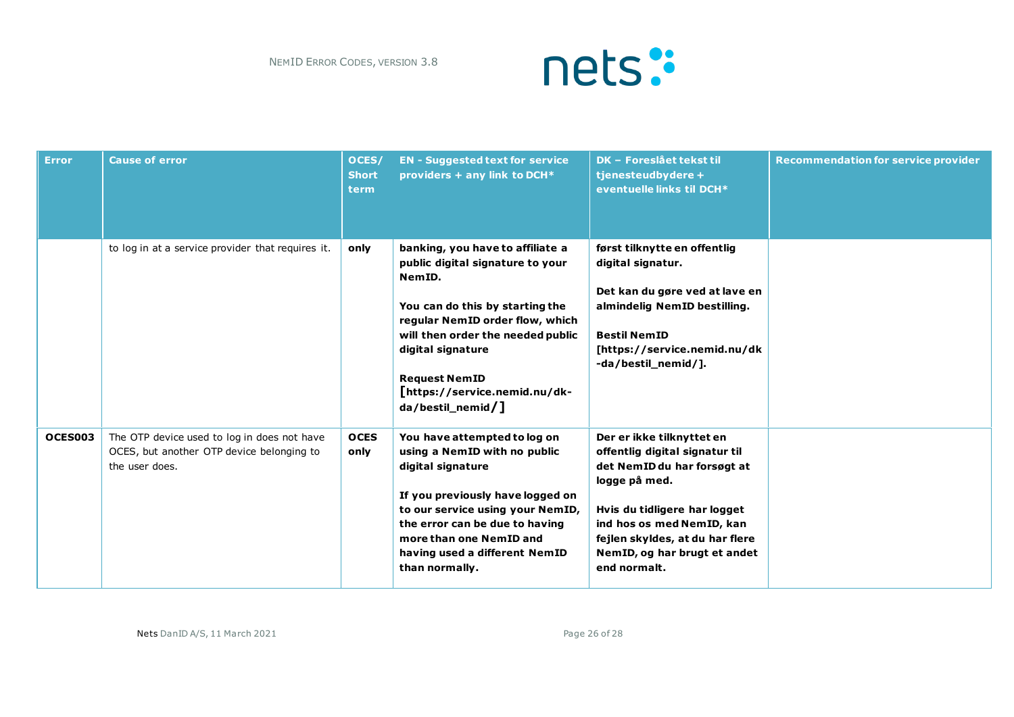

| <b>Error</b> | <b>Cause of error</b>                                                                                      | OCES/<br><b>Short</b><br>term | <b>EN - Suggested text for service</b><br>providers + any link to DCH*                                                                                                                                                                                                                          | <b>DK - Foreslået tekst til</b><br>tjenesteudbydere +<br>eventuelle links til DCH*                                                                                                                                                                          | <b>Recommendation for service provider</b> |
|--------------|------------------------------------------------------------------------------------------------------------|-------------------------------|-------------------------------------------------------------------------------------------------------------------------------------------------------------------------------------------------------------------------------------------------------------------------------------------------|-------------------------------------------------------------------------------------------------------------------------------------------------------------------------------------------------------------------------------------------------------------|--------------------------------------------|
|              | to log in at a service provider that requires it.                                                          | only                          | banking, you have to affiliate a<br>public digital signature to your<br>NemID.<br>You can do this by starting the<br>regular NemID order flow, which<br>will then order the needed public<br>digital signature<br><b>Request NemID</b><br>[https://service.nemid.nu/dk-<br>$da/bestil\_nemid$ ] | først tilknytte en offentlig<br>digital signatur.<br>Det kan du gøre ved at lave en<br>almindelig NemID bestilling.<br><b>Bestil NemID</b><br>[https://service.nemid.nu/dk<br>-da/bestil_nemid/].                                                           |                                            |
| OCES003      | The OTP device used to log in does not have<br>OCES, but another OTP device belonging to<br>the user does. | <b>OCES</b><br>only           | You have attempted to log on<br>using a NemID with no public<br>digital signature<br>If you previously have logged on<br>to our service using your NemID,<br>the error can be due to having<br>more than one NemID and<br>having used a different NemID<br>than normally.                       | Der er ikke tilknyttet en<br>offentlig digital signatur til<br>det NemID du har forsøgt at<br>logge på med.<br>Hvis du tidligere har logget<br>ind hos os med NemID, kan<br>fejlen skyldes, at du har flere<br>NemID, og har brugt et andet<br>end normalt. |                                            |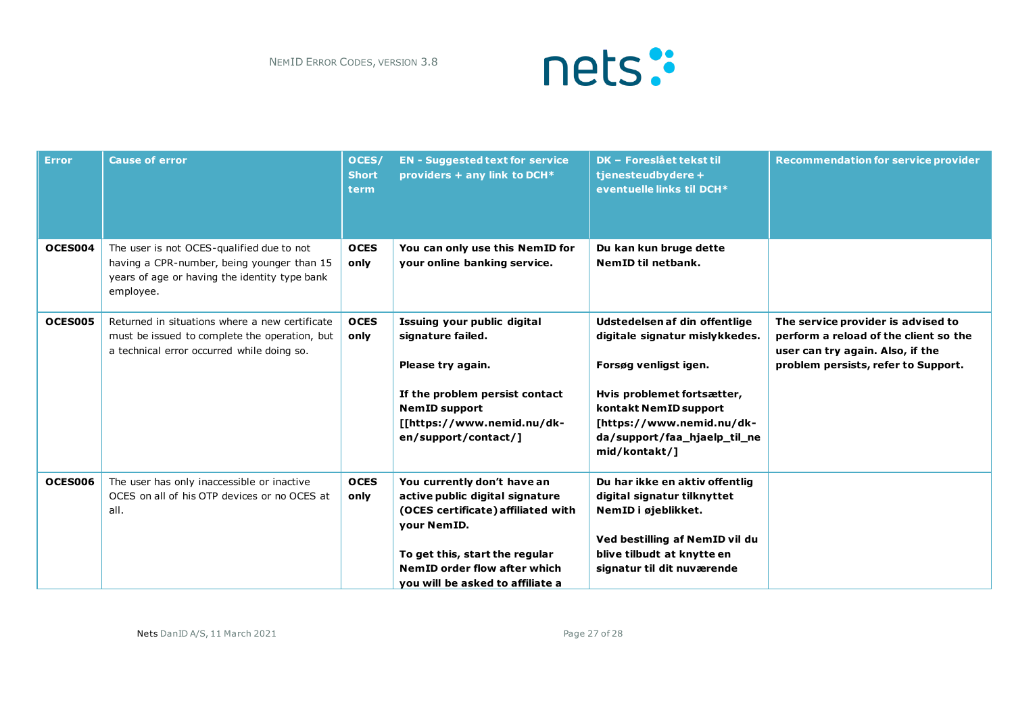

| <b>Error</b>   | <b>Cause of error</b>                                                                                                                                 | OCES/<br><b>Short</b><br><b>term</b> | <b>EN - Suggested text for service</b><br>providers + any link to DCH*                                                                                                                                                    | <b>DK - Foreslået tekst til</b><br>tjenesteudbydere +<br>eventuelle links til DCH*                                                                                                                                            | <b>Recommendation for service provider</b>                                                                                                             |
|----------------|-------------------------------------------------------------------------------------------------------------------------------------------------------|--------------------------------------|---------------------------------------------------------------------------------------------------------------------------------------------------------------------------------------------------------------------------|-------------------------------------------------------------------------------------------------------------------------------------------------------------------------------------------------------------------------------|--------------------------------------------------------------------------------------------------------------------------------------------------------|
| OCES004        | The user is not OCES-qualified due to not<br>having a CPR-number, being younger than 15<br>years of age or having the identity type bank<br>employee. | <b>OCES</b><br>only                  | You can only use this NemID for<br>your online banking service.                                                                                                                                                           | Du kan kun bruge dette<br>NemID til netbank.                                                                                                                                                                                  |                                                                                                                                                        |
| <b>OCES005</b> | Returned in situations where a new certificate<br>must be issued to complete the operation, but<br>a technical error occurred while doing so.         | <b>OCES</b><br>only                  | Issuing your public digital<br>signature failed.<br>Please try again.<br>If the problem persist contact<br><b>NemID support</b><br>[[https://www.nemid.nu/dk-<br>en/support/contact/]                                     | Udstedelsen af din offentlige<br>digitale signatur mislykkedes.<br>Forsøg venligst igen.<br>Hvis problemet fortsætter,<br>kontakt NemID support<br>[https://www.nemid.nu/dk-<br>da/support/faa_hjaelp_til_ne<br>mid/kontakt/] | The service provider is advised to<br>perform a reload of the client so the<br>user can try again. Also, if the<br>problem persists, refer to Support. |
| OCES006        | The user has only inaccessible or inactive<br>OCES on all of his OTP devices or no OCES at<br>all.                                                    | <b>OCES</b><br>only                  | You currently don't have an<br>active public digital signature<br>(OCES certificate) affiliated with<br>your NemID.<br>To get this, start the regular<br>NemID order flow after which<br>vou will be asked to affiliate a | Du har ikke en aktiv offentlig<br>digital signatur tilknyttet<br>NemID i øjeblikket.<br>Ved bestilling af NemID vil du<br>blive tilbudt at knytte en<br>signatur til dit nuværende                                            |                                                                                                                                                        |